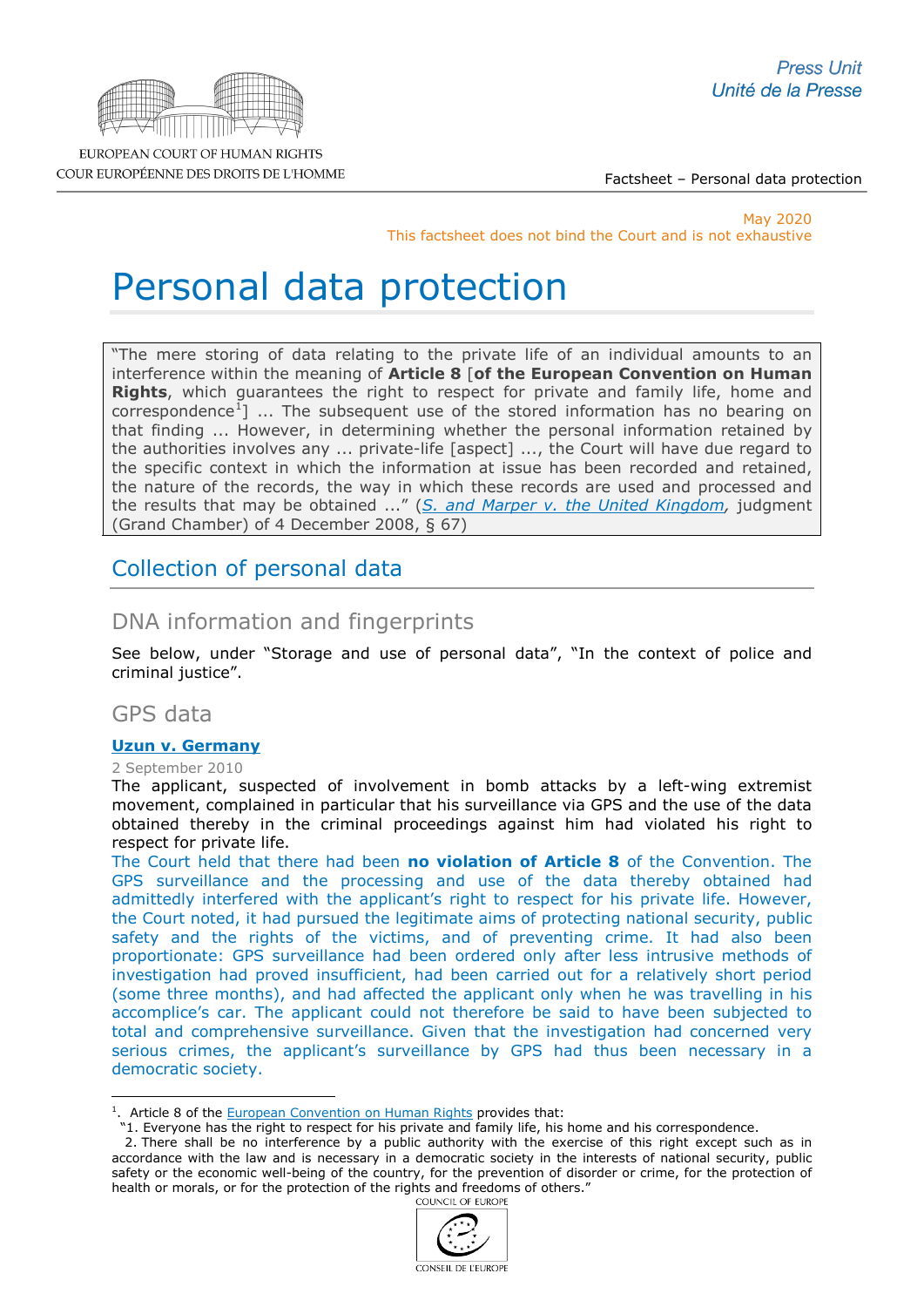

EUROPEAN COURT OF HUMAN RIGHTS COUR EUROPÉENNE DES DROITS DE L'HOMME

Factsheet – Personal data protection

May 2020 This factsheet does not bind the Court and is not exhaustive

# Personal data protection

"The mere storing of data relating to the private life of an individual amounts to an interference within the meaning of **Article 8** [**of the European Convention on Human Rights**, which guarantees the right to respect for private and family life, home and correspondence<sup>[1](#page-0-0)</sup>] ... The subsequent use of the stored information has no bearing on that finding ... However, in determining whether the personal information retained by the authorities involves any ... private-life [aspect] ..., the Court will have due regard to the specific context in which the information at issue has been recorded and retained, the nature of the records, the way in which these records are used and processed and the results that may be obtained ..." (*[S. and Marper v. the United Kingdom,](http://hudoc.echr.coe.int/eng?i=001-90051)* judgment (Grand Chamber) of 4 December 2008, § 67)

# Collection of personal data

# DNA information and fingerprints

See below, under "Storage and use of personal data", "In the context of police and criminal justice".

# GPS data

# **[Uzun v. Germany](http://hudoc.echr.coe.int/sites/eng-press/pages/search.aspx?i=003-3241790-3612154)**

# 2 September 2010

The applicant, suspected of involvement in bomb attacks by a left-wing extremist movement, complained in particular that his surveillance via GPS and the use of the data obtained thereby in the criminal proceedings against him had violated his right to respect for private life.

The Court held that there had been **no violation of Article 8** of the Convention. The GPS surveillance and the processing and use of the data thereby obtained had admittedly interfered with the applicant's right to respect for his private life. However, the Court noted, it had pursued the legitimate aims of protecting national security, public safety and the rights of the victims, and of preventing crime. It had also been proportionate: GPS surveillance had been ordered only after less intrusive methods of investigation had proved insufficient, had been carried out for a relatively short period (some three months), and had affected the applicant only when he was travelling in his accomplice's car. The applicant could not therefore be said to have been subjected to total and comprehensive surveillance. Given that the investigation had concerned very serious crimes, the applicant's surveillance by GPS had thus been necessary in a democratic society.

 <sup>2.</sup> There shall be no interference by a public authority with the exercise of this right except such as in accordance with the law and is necessary in a democratic society in the interests of national security, public safety or the economic well-being of the country, for the prevention of disorder or crime, for the protection of health or morals, or for the protection of the rights and freedoms of others."<br> $\frac{1}{2}$ 



<span id="page-0-0"></span><sup>&</sup>lt;sup>1</sup>. Article 8 of the **European Convention on Human Rights** provides that: -

 <sup>&</sup>quot;1. Everyone has the right to respect for his private and family life, his home and his correspondence.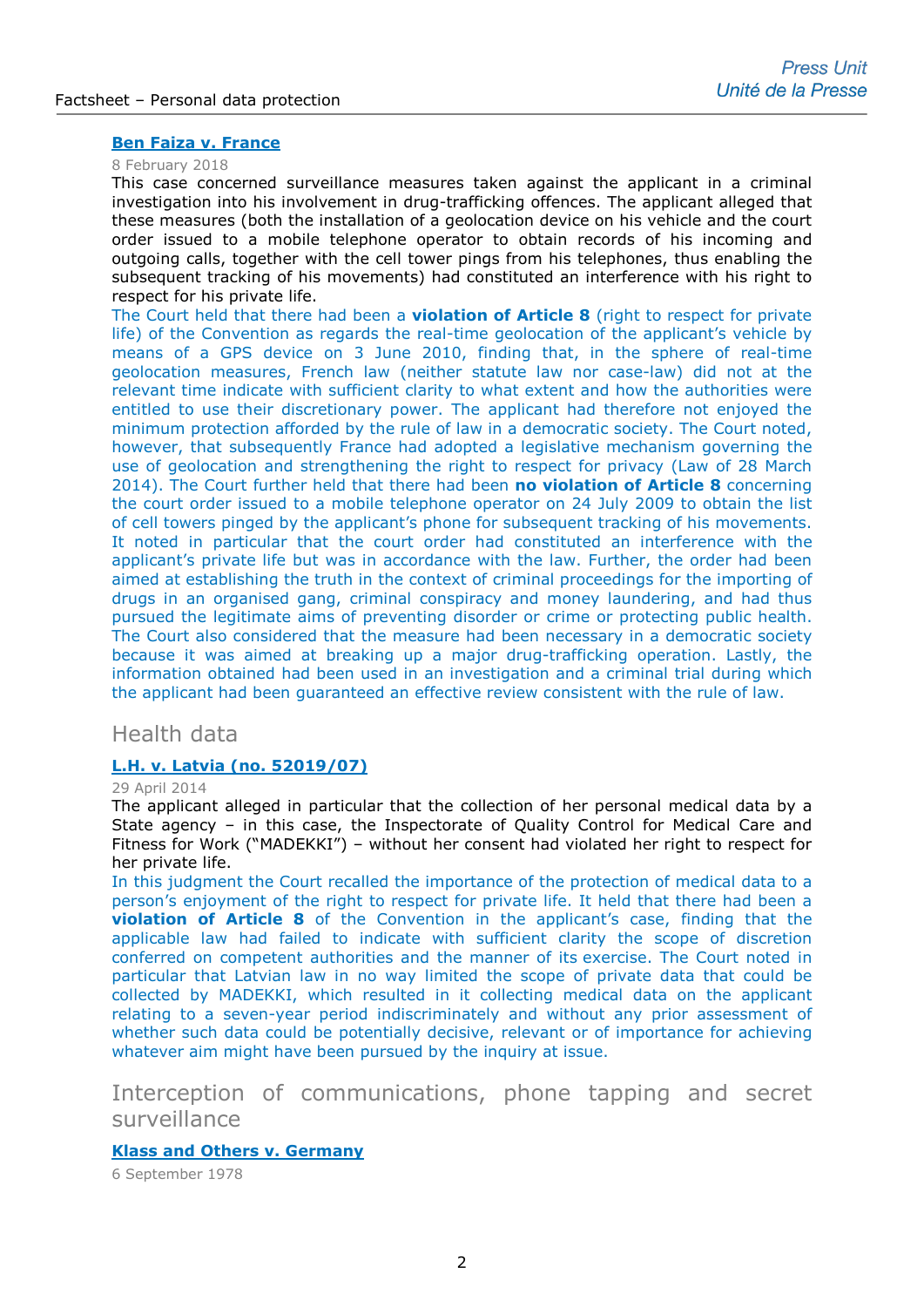# **[Ben Faiza v. France](http://hudoc.echr.coe.int/eng-press?i=003-5999245-7685292)**

#### 8 February 2018

This case concerned surveillance measures taken against the applicant in a criminal investigation into his involvement in drug-trafficking offences. The applicant alleged that these measures (both the installation of a geolocation device on his vehicle and the court order issued to a mobile telephone operator to obtain records of his incoming and outgoing calls, together with the cell tower pings from his telephones, thus enabling the subsequent tracking of his movements) had constituted an interference with his right to respect for his private life.

The Court held that there had been a **violation of Article 8** (right to respect for private life) of the Convention as regards the real-time geolocation of the applicant's vehicle by means of a GPS device on 3 June 2010, finding that, in the sphere of real-time geolocation measures, French law (neither statute law nor case-law) did not at the relevant time indicate with sufficient clarity to what extent and how the authorities were entitled to use their discretionary power. The applicant had therefore not enjoyed the minimum protection afforded by the rule of law in a democratic society. The Court noted, however, that subsequently France had adopted a legislative mechanism governing the use of geolocation and strengthening the right to respect for privacy (Law of 28 March 2014). The Court further held that there had been **no violation of Article 8** concerning the court order issued to a mobile telephone operator on 24 July 2009 to obtain the list of cell towers pinged by the applicant's phone for subsequent tracking of his movements. It noted in particular that the court order had constituted an interference with the applicant's private life but was in accordance with the law. Further, the order had been aimed at establishing the truth in the context of criminal proceedings for the importing of drugs in an organised gang, criminal conspiracy and money laundering, and had thus pursued the legitimate aims of preventing disorder or crime or protecting public health. The Court also considered that the measure had been necessary in a democratic society because it was aimed at breaking up a major drug-trafficking operation. Lastly, the information obtained had been used in an investigation and a criminal trial during which the applicant had been guaranteed an effective review consistent with the rule of law.

# Health data

# **[L.H. v. Latvia \(no. 52019/07\)](http://hudoc.echr.coe.int/sites/eng/pages/search.aspx?i=002-9365)**

#### 29 April 2014

The applicant alleged in particular that the collection of her personal medical data by a State agency – in this case, the Inspectorate of Quality Control for Medical Care and Fitness for Work ("MADEKKI") – without her consent had violated her right to respect for her private life.

In this judgment the Court recalled the importance of the protection of medical data to a person's enjoyment of the right to respect for private life. It held that there had been a **violation of Article 8** of the Convention in the applicant's case, finding that the applicable law had failed to indicate with sufficient clarity the scope of discretion conferred on competent authorities and the manner of its exercise. The Court noted in particular that Latvian law in no way limited the scope of private data that could be collected by MADEKKI, which resulted in it collecting medical data on the applicant relating to a seven-year period indiscriminately and without any prior assessment of whether such data could be potentially decisive, relevant or of importance for achieving whatever aim might have been pursued by the inquiry at issue.

Interception of communications, phone tapping and secret surveillance

# **[Klass and Others v. Germany](http://cmiskp.echr.coe.int/tkp197/view.asp?action=html&documentId=695387&portal=hbkm&source=externalbydocnumber&table=F69A27FD8FB86142BF01C1166DEA398649)**

6 September 1978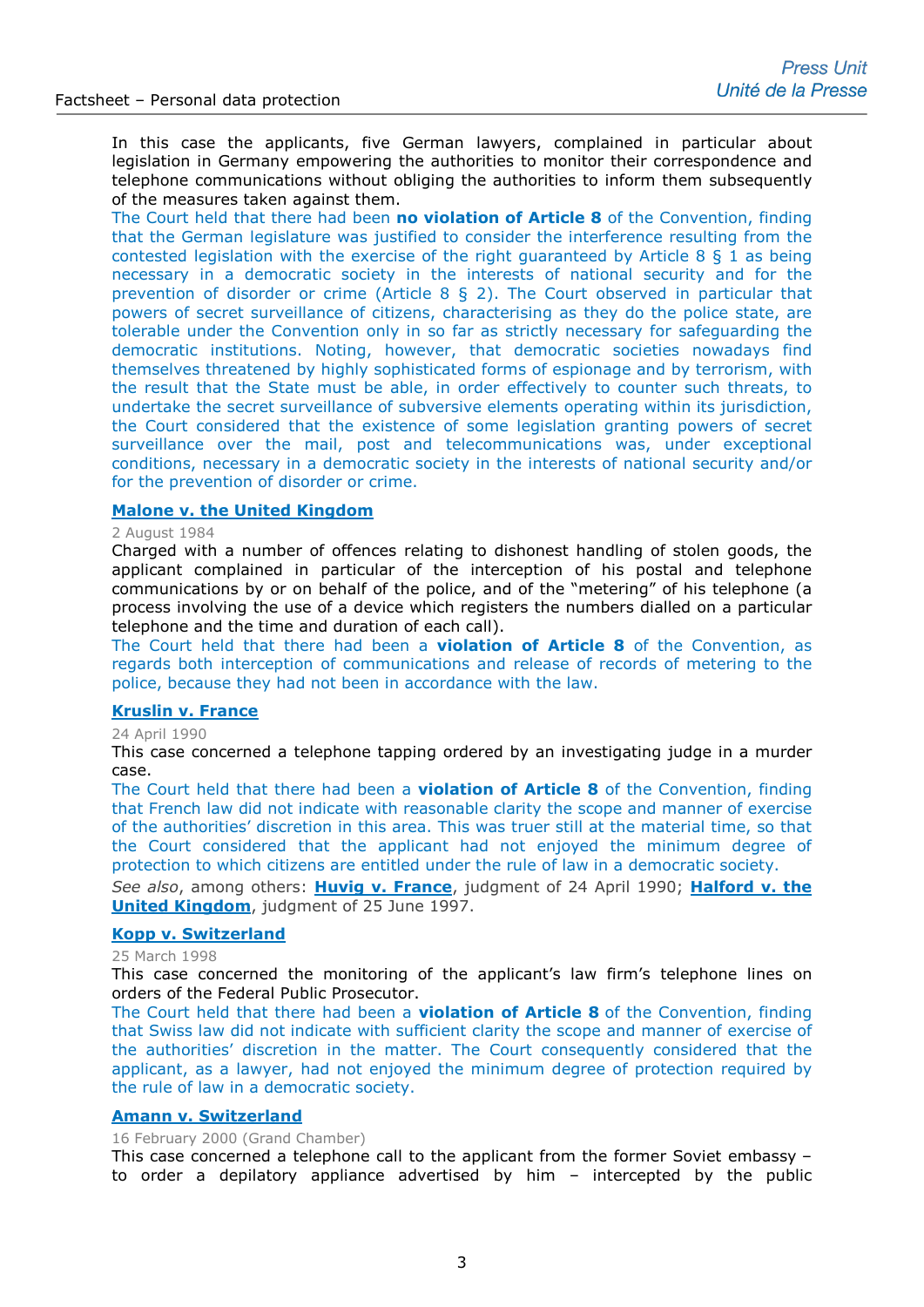In this case the applicants, five German lawyers, complained in particular about legislation in Germany empowering the authorities to monitor their correspondence and telephone communications without obliging the authorities to inform them subsequently of the measures taken against them.

The Court held that there had been **no violation of Article 8** of the Convention, finding that the German legislature was justified to consider the interference resulting from the contested legislation with the exercise of the right guaranteed by Article 8  $\S$  1 as being necessary in a democratic society in the interests of national security and for the prevention of disorder or crime (Article 8 § 2). The Court observed in particular that powers of secret surveillance of citizens, characterising as they do the police state, are tolerable under the Convention only in so far as strictly necessary for safeguarding the democratic institutions. Noting, however, that democratic societies nowadays find themselves threatened by highly sophisticated forms of espionage and by terrorism, with the result that the State must be able, in order effectively to counter such threats, to undertake the secret surveillance of subversive elements operating within its jurisdiction, the Court considered that the existence of some legislation granting powers of secret surveillance over the mail, post and telecommunications was, under exceptional conditions, necessary in a democratic society in the interests of national security and/or for the prevention of disorder or crime.

# **[Malone v. the United Kingdom](http://hudoc.echr.coe.int/eng?i=001-57533)**

#### 2 August 1984

Charged with a number of offences relating to dishonest handling of stolen goods, the applicant complained in particular of the interception of his postal and telephone communications by or on behalf of the police, and of the "metering" of his telephone (a process involving the use of a device which registers the numbers dialled on a particular telephone and the time and duration of each call).

The Court held that there had been a **violation of Article 8** of the Convention, as regards both interception of communications and release of records of metering to the police, because they had not been in accordance with the law.

# **[Kruslin v. France](http://hudoc.echr.coe.int/eng?i=001-57626)**

#### 24 April 1990

This case concerned a telephone tapping ordered by an investigating judge in a murder case.

The Court held that there had been a **violation of Article 8** of the Convention, finding that French law did not indicate with reasonable clarity the scope and manner of exercise of the authorities' discretion in this area. This was truer still at the material time, so that the Court considered that the applicant had not enjoyed the minimum degree of protection to which citizens are entitled under the rule of law in a democratic society.

*See also*, among others: **[Huvig v. France](http://hudoc.echr.coe.int/eng?i=001-57627)**, judgment of 24 April 1990; **[Halford v. the](http://hudoc.echr.coe.int/eng?i=001-58039)  [United Kingdom](http://hudoc.echr.coe.int/eng?i=001-58039)**, judgment of 25 June 1997.

# **[Kopp v. Switzerland](http://hudoc.echr.coe.int/eng?i=001-58144)**

25 March 1998

This case concerned the monitoring of the applicant's law firm's telephone lines on orders of the Federal Public Prosecutor.

The Court held that there had been a **violation of Article 8** of the Convention, finding that Swiss law did not indicate with sufficient clarity the scope and manner of exercise of the authorities' discretion in the matter. The Court consequently considered that the applicant, as a lawyer, had not enjoyed the minimum degree of protection required by the rule of law in a democratic society.

# **[Amann v. Switzerland](http://hudoc.echr.coe.int/eng?i=001-58497)**

16 February 2000 (Grand Chamber)

This case concerned a telephone call to the applicant from the former Soviet embassy – to order a depilatory appliance advertised by him – intercepted by the public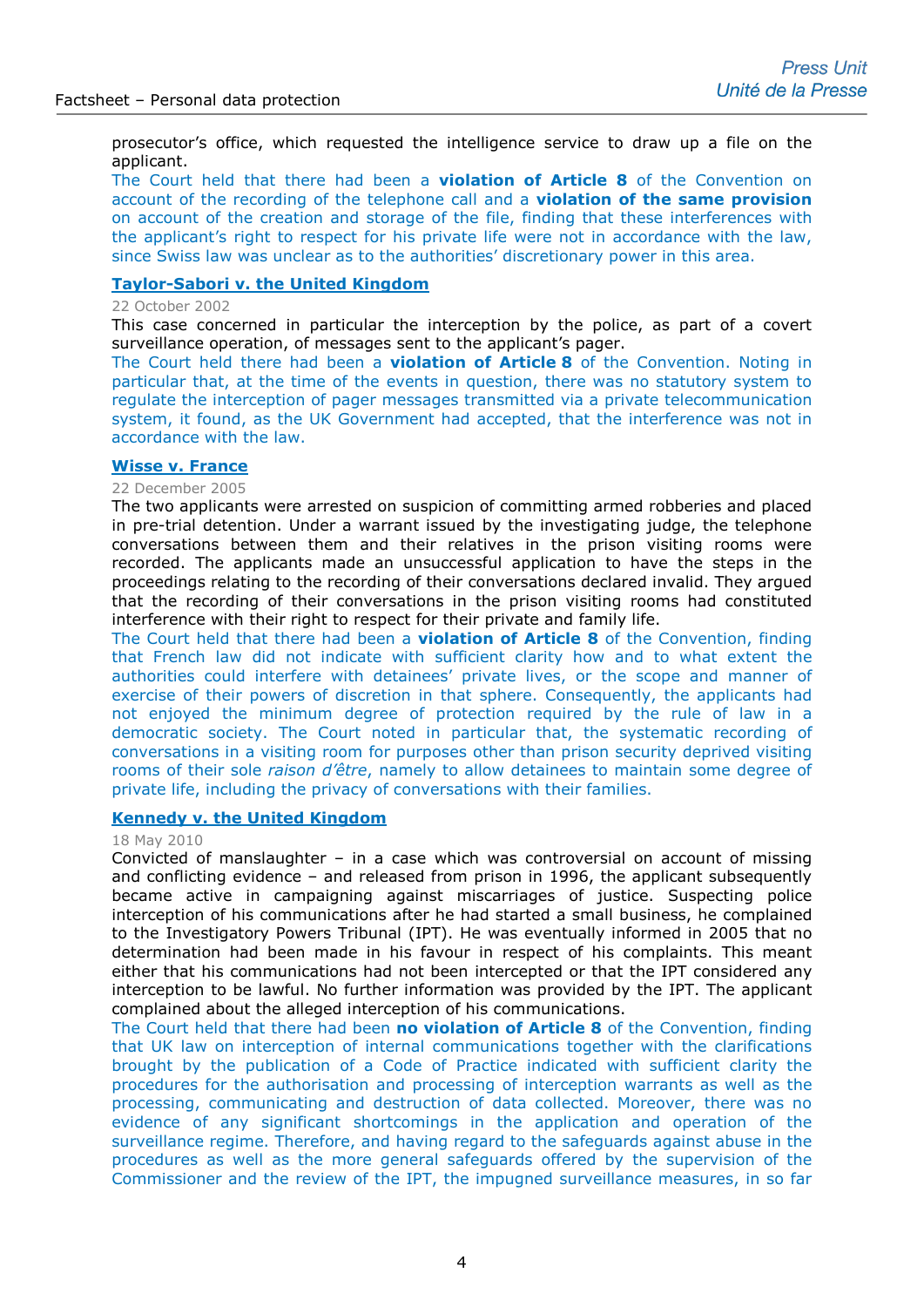prosecutor's office, which requested the intelligence service to draw up a file on the applicant.

The Court held that there had been a **violation of Article 8** of the Convention on account of the recording of the telephone call and a **violation of the same provision** on account of the creation and storage of the file, finding that these interferences with the applicant's right to respect for his private life were not in accordance with the law, since Swiss law was unclear as to the authorities' discretionary power in this area.

# **[Taylor-Sabori v. the United Kingdom](http://hudoc.echr.coe.int/eng?i=001-60696)**

#### 22 October 2002

This case concerned in particular the interception by the police, as part of a covert surveillance operation, of messages sent to the applicant's pager.

The Court held there had been a **violation of Article 8** of the Convention. Noting in particular that, at the time of the events in question, there was no statutory system to regulate the interception of pager messages transmitted via a private telecommunication system, it found, as the UK Government had accepted, that the interference was not in accordance with the law.

#### **[Wisse v. France](http://hudoc.echr.coe.int/eng?i=001-71789)**

# 22 December 2005

The two applicants were arrested on suspicion of committing armed robberies and placed in pre-trial detention. Under a warrant issued by the investigating judge, the telephone conversations between them and their relatives in the prison visiting rooms were recorded. The applicants made an unsuccessful application to have the steps in the proceedings relating to the recording of their conversations declared invalid. They argued that the recording of their conversations in the prison visiting rooms had constituted interference with their right to respect for their private and family life.

The Court held that there had been a **violation of Article 8** of the Convention, finding that French law did not indicate with sufficient clarity how and to what extent the authorities could interfere with detainees' private lives, or the scope and manner of exercise of their powers of discretion in that sphere. Consequently, the applicants had not enjoyed the minimum degree of protection required by the rule of law in a democratic society. The Court noted in particular that, the systematic recording of conversations in a visiting room for purposes other than prison security deprived visiting rooms of their sole *raison d'être*, namely to allow detainees to maintain some degree of private life, including the privacy of conversations with their families.

# **[Kennedy v. the United Kingdom](http://hudoc.echr.coe.int/eng-press?i=003-3133083-3481117)**

#### 18 May 2010

Convicted of manslaughter – in a case which was controversial on account of missing and conflicting evidence – and released from prison in 1996, the applicant subsequently became active in campaigning against miscarriages of justice. Suspecting police interception of his communications after he had started a small business, he complained to the Investigatory Powers Tribunal (IPT). He was eventually informed in 2005 that no determination had been made in his favour in respect of his complaints. This meant either that his communications had not been intercepted or that the IPT considered any interception to be lawful. No further information was provided by the IPT. The applicant complained about the alleged interception of his communications.

The Court held that there had been **no violation of Article 8** of the Convention, finding that UK law on interception of internal communications together with the clarifications brought by the publication of a Code of Practice indicated with sufficient clarity the procedures for the authorisation and processing of interception warrants as well as the processing, communicating and destruction of data collected. Moreover, there was no evidence of any significant shortcomings in the application and operation of the surveillance regime. Therefore, and having regard to the safeguards against abuse in the procedures as well as the more general safeguards offered by the supervision of the Commissioner and the review of the IPT, the impugned surveillance measures, in so far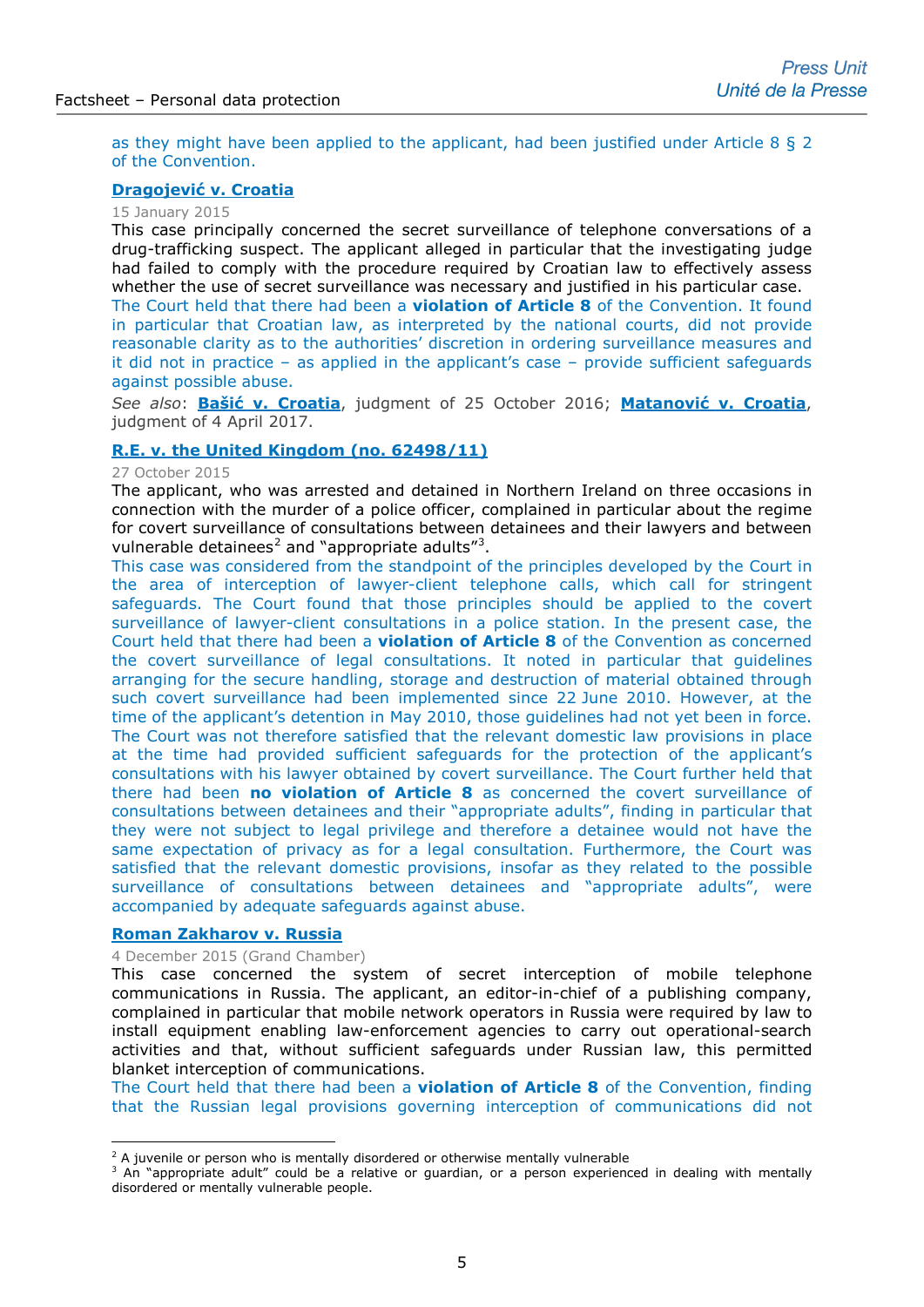as they might have been applied to the applicant, had been justified under Article 8 § 2 of the Convention.

# **[Dragojević v. Croatia](http://hudoc.echr.coe.int/eng-press?i=003-4982444-6110006)**

15 January 2015

This case principally concerned the secret surveillance of telephone conversations of a drug-trafficking suspect. The applicant alleged in particular that the investigating judge had failed to comply with the procedure required by Croatian law to effectively assess whether the use of secret surveillance was necessary and justified in his particular case.

The Court held that there had been a **violation of Article 8** of the Convention. It found in particular that Croatian law, as interpreted by the national courts, did not provide reasonable clarity as to the authorities' discretion in ordering surveillance measures and it did not in practice – as applied in the applicant's case – provide sufficient safeguards against possible abuse.

*See also*: **[Bašić v. Croatia](http://hudoc.echr.coe.int/eng?i=001-167801)**, judgment of 25 October 2016; **[Matanović v. Croatia](http://hudoc.echr.coe.int/eng-press?i=003-5674799-7195198)**, judgment of 4 April 2017.

## **R.E. v. the [United Kingdom \(no. 62498/11\)](http://hudoc.echr.coe.int/eng-press?i=003-5209726-6454540)**

#### 27 October 2015

The applicant, who was arrested and detained in Northern Ireland on three occasions in connection with the murder of a police officer, complained in particular about the regime for covert surveillance of consultations between detainees and their lawyers and between vulnerable detainees<sup>[2](#page-4-0)</sup> and "appropriate adults"<sup>[3](#page-4-1)</sup>.

This case was considered from the standpoint of the principles developed by the Court in the area of interception of lawyer-client telephone calls, which call for stringent safeguards. The Court found that those principles should be applied to the covert surveillance of lawyer-client consultations in a police station. In the present case, the Court held that there had been a **violation of Article 8** of the Convention as concerned the covert surveillance of legal consultations. It noted in particular that guidelines arranging for the secure handling, storage and destruction of material obtained through such covert surveillance had been implemented since 22 June 2010. However, at the time of the applicant's detention in May 2010, those guidelines had not yet been in force. The Court was not therefore satisfied that the relevant domestic law provisions in place at the time had provided sufficient safeguards for the protection of the applicant's consultations with his lawyer obtained by covert surveillance. The Court further held that there had been **no violation of Article 8** as concerned the covert surveillance of consultations between detainees and their "appropriate adults", finding in particular that they were not subject to legal privilege and therefore a detainee would not have the same expectation of privacy as for a legal consultation. Furthermore, the Court was satisfied that the relevant domestic provisions, insofar as they related to the possible surveillance of consultations between detainees and "appropriate adults", were accompanied by adequate safeguards against abuse.

# **[Roman Zakharov v. Russia](http://hudoc.echr.coe.int/eng-press?i=003-5246347-6510358)**

-

#### 4 December 2015 (Grand Chamber)

This case concerned the system of secret interception of mobile telephone communications in Russia. The applicant, an editor-in-chief of a publishing company, complained in particular that mobile network operators in Russia were required by law to install equipment enabling law-enforcement agencies to carry out operational-search activities and that, without sufficient safeguards under Russian law, this permitted blanket interception of communications.

The Court held that there had been a **violation of Article 8** of the Convention, finding that the Russian legal provisions governing interception of communications did not

 $2$  A juvenile or person who is mentally disordered or otherwise mentally vulnerable

<span id="page-4-1"></span><span id="page-4-0"></span><sup>&</sup>lt;sup>3</sup> An "appropriate adult" could be a relative or guardian, or a person experienced in dealing with mentally disordered or mentally vulnerable people.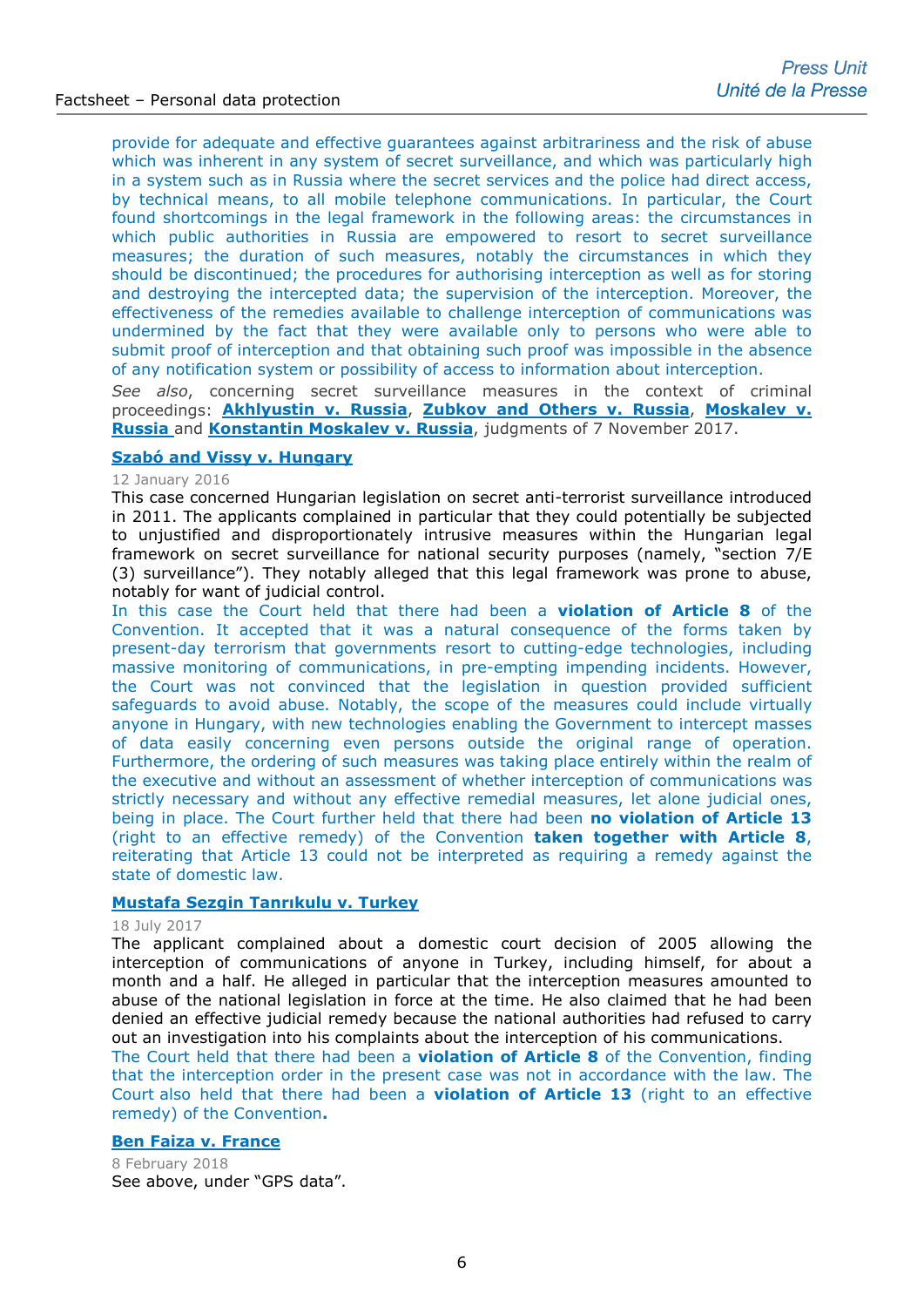provide for adequate and effective guarantees against arbitrariness and the risk of abuse which was inherent in any system of secret surveillance, and which was particularly high in a system such as in Russia where the secret services and the police had direct access, by technical means, to all mobile telephone communications. In particular, the Court found shortcomings in the legal framework in the following areas: the circumstances in which public authorities in Russia are empowered to resort to secret surveillance measures; the duration of such measures, notably the circumstances in which they should be discontinued; the procedures for authorising interception as well as for storing and destroying the intercepted data; the supervision of the interception. Moreover, the effectiveness of the remedies available to challenge interception of communications was undermined by the fact that they were available only to persons who were able to submit proof of interception and that obtaining such proof was impossible in the absence of any notification system or possibility of access to information about interception.

*See also*, concerning secret surveillance measures in the context of criminal proceedings: **Akhlyustin v. Russia**, **[Zubkov and Others v. Russia](http://hudoc.echr.coe.int/eng?i=002-11743)**, **Moskalev v. Russia** and **[Konstantin Moskalev v. Russia](http://hudoc.echr.coe.int/eng?i=002-11743)**, judgments of 7 November 2017.

# **[Szabó and Vissy v. Hungary](http://hudoc.echr.coe.int/eng-press?i=003-5268616-6546444)**

#### 12 January 2016

This case concerned Hungarian legislation on secret anti-terrorist surveillance introduced in 2011. The applicants complained in particular that they could potentially be subjected to unjustified and disproportionately intrusive measures within the Hungarian legal framework on secret surveillance for national security purposes (namely, "section 7/E (3) surveillance"). They notably alleged that this legal framework was prone to abuse, notably for want of judicial control.

In this case the Court held that there had been a **violation of Article 8** of the Convention. It accepted that it was a natural consequence of the forms taken by present-day terrorism that governments resort to cutting-edge technologies, including massive monitoring of communications, in pre-empting impending incidents. However, the Court was not convinced that the legislation in question provided sufficient safeguards to avoid abuse. Notably, the scope of the measures could include virtually anyone in Hungary, with new technologies enabling the Government to intercept masses of data easily concerning even persons outside the original range of operation. Furthermore, the ordering of such measures was taking place entirely within the realm of the executive and without an assessment of whether interception of communications was strictly necessary and without any effective remedial measures, let alone judicial ones, being in place. The Court further held that there had been **no violation of Article 13** (right to an effective remedy) of the Convention **taken together with Article 8**, reiterating that Article 13 could not be interpreted as requiring a remedy against the state of domestic law.

#### **[Mustafa Sezgin Tanrıkulu v. Turkey](http://hudoc.echr.coe.int/eng?i=001-175464)**

### 18 July 2017

The applicant complained about a domestic court decision of 2005 allowing the interception of communications of anyone in Turkey, including himself, for about a month and a half. He alleged in particular that the interception measures amounted to abuse of the national legislation in force at the time. He also claimed that he had been denied an effective judicial remedy because the national authorities had refused to carry out an investigation into his complaints about the interception of his communications.

The Court held that there had been a **violation of Article 8** of the Convention, finding that the interception order in the present case was not in accordance with the law. The Court also held that there had been a **violation of Article 13** (right to an effective remedy) of the Convention**.**

#### **[Ben Faiza v. France](http://hudoc.echr.coe.int/eng-press?i=003-5999245-7685292)**

8 February 2018 See above, under "GPS data".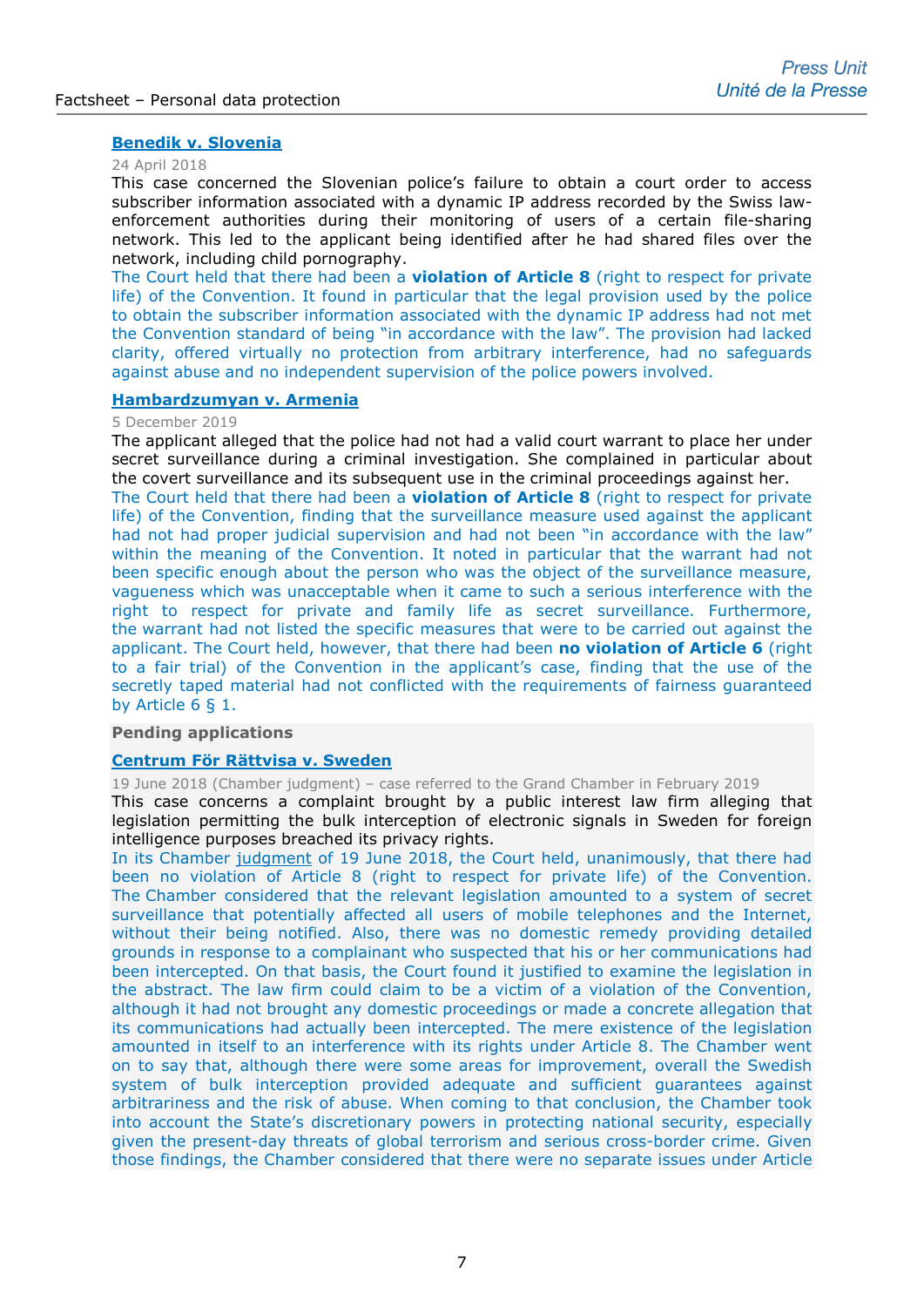# **[Benedik v. Slovenia](http://hudoc.echr.coe.int/eng-press?i=003-6069932-7814155)**

#### 24 April 2018

This case concerned the Slovenian police's failure to obtain a court order to access subscriber information associated with a dynamic IP address recorded by the Swiss lawenforcement authorities during their monitoring of users of a certain file-sharing network. This led to the applicant being identified after he had shared files over the network, including child pornography.

The Court held that there had been a **violation of Article 8** (right to respect for private life) of the Convention. It found in particular that the legal provision used by the police to obtain the subscriber information associated with the dynamic IP address had not met the Convention standard of being "in accordance with the law". The provision had lacked clarity, offered virtually no protection from arbitrary interference, had no safeguards against abuse and no independent supervision of the police powers involved.

# **[Hambardzumyan v. Armenia](http://hudoc.echr.coe.int/fre-press?i=003-6581519-8718116)**

#### 5 December 2019

The applicant alleged that the police had not had a valid court warrant to place her under secret surveillance during a criminal investigation. She complained in particular about the covert surveillance and its subsequent use in the criminal proceedings against her.

The Court held that there had been a **violation of Article 8** (right to respect for private life) of the Convention, finding that the surveillance measure used against the applicant had not had proper judicial supervision and had not been "in accordance with the law" within the meaning of the Convention. It noted in particular that the warrant had not been specific enough about the person who was the object of the surveillance measure, vagueness which was unacceptable when it came to such a serious interference with the right to respect for private and family life as secret surveillance. Furthermore, the warrant had not listed the specific measures that were to be carried out against the applicant. The Court held, however, that there had been **no violation of Article 6** (right to a fair trial) of the Convention in the applicant's case, finding that the use of the secretly taped material had not conflicted with the requirements of fairness guaranteed by Article 6 § 1.

## **Pending applications**

#### **[Centrum För Rättvisa v. Sweden](http://hudoc.echr.coe.int/eng-press?i=003-6455880-8500175)**

19 June 2018 (Chamber judgment) – case referred to the Grand Chamber in February 2019

This case concerns a complaint brought by a public interest law firm alleging that legislation permitting the bulk interception of electronic signals in Sweden for foreign intelligence purposes breached its privacy rights.

In its Chamber [judgment](http://hudoc.echr.coe.int/fre-press?i=003-6120023-7901747) of 19 June 2018, the Court held, unanimously, that there had been no violation of Article 8 (right to respect for private life) of the Convention. The Chamber considered that the relevant legislation amounted to a system of secret surveillance that potentially affected all users of mobile telephones and the Internet, without their being notified. Also, there was no domestic remedy providing detailed grounds in response to a complainant who suspected that his or her communications had been intercepted. On that basis, the Court found it justified to examine the legislation in the abstract. The law firm could claim to be a victim of a violation of the Convention, although it had not brought any domestic proceedings or made a concrete allegation that its communications had actually been intercepted. The mere existence of the legislation amounted in itself to an interference with its rights under Article 8. The Chamber went on to say that, although there were some areas for improvement, overall the Swedish system of bulk interception provided adequate and sufficient guarantees against arbitrariness and the risk of abuse. When coming to that conclusion, the Chamber took into account the State's discretionary powers in protecting national security, especially given the present-day threats of global terrorism and serious cross-border crime. Given those findings, the Chamber considered that there were no separate issues under Article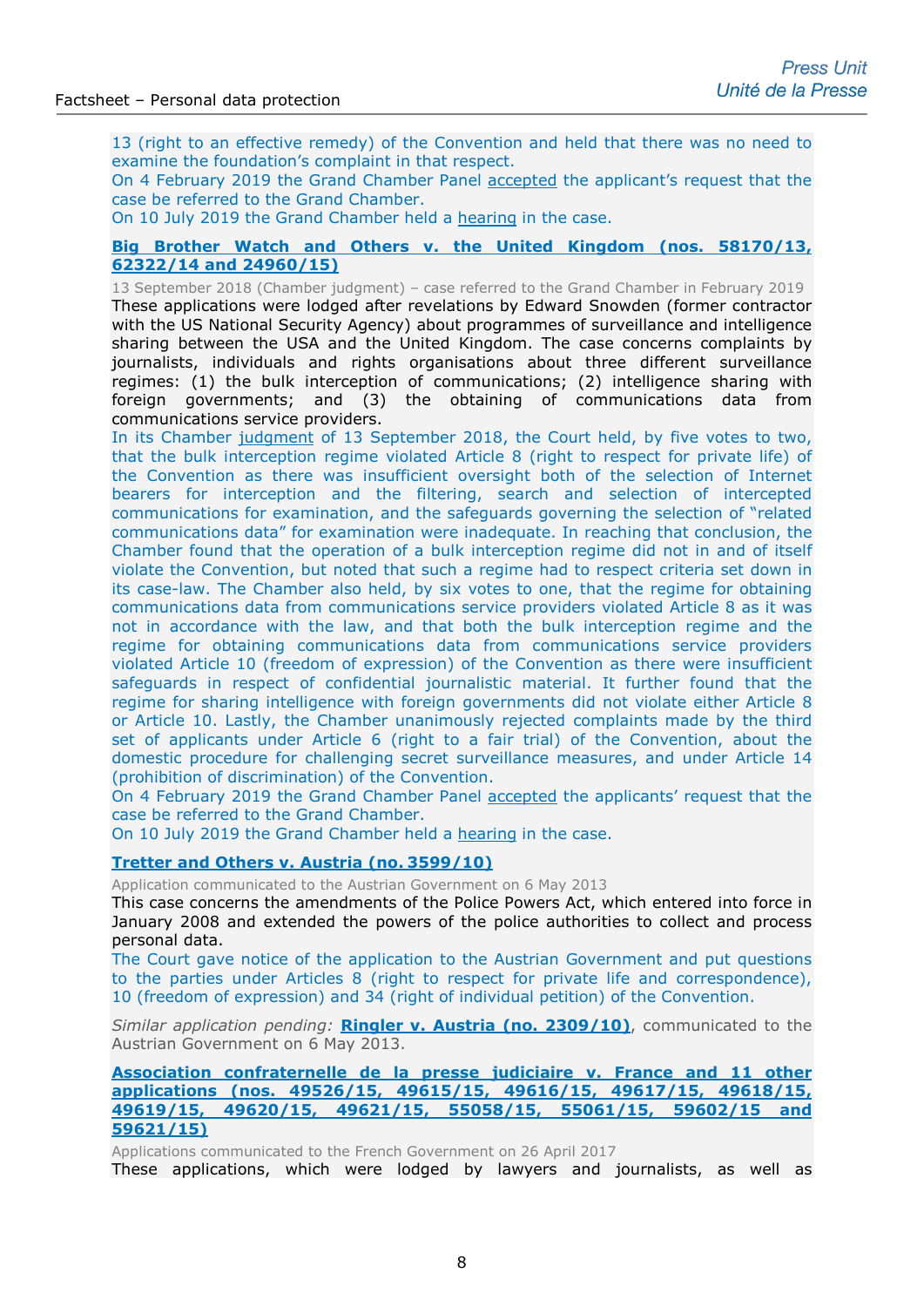13 (right to an effective remedy) of the Convention and held that there was no need to examine the foundation's complaint in that respect.

On 4 February 2019 the Grand Chamber Panel [accepted](http://hudoc.echr.coe.int/eng-press?i=003-6321717-8260093) the applicant's request that the case be referred to the Grand Chamber.

On 10 July 2019 the Grand Chamber held a [hearing](https://www.echr.coe.int/Pages/home.aspx?p=hearings&w=5817013_10072019&language=en&c=&py=2019) in the case.

# **[Big Brother Watch and Others v. the United Kingdom \(nos. 58170/13,](http://hudoc.echr.coe.int/eng-press?i=003-6455876-8500167)  [62322/14 and 24960/15\)](http://hudoc.echr.coe.int/eng-press?i=003-6455876-8500167)**

13 September 2018 (Chamber judgment) – case referred to the Grand Chamber in February 2019 These applications were lodged after revelations by Edward Snowden (former contractor with the US National Security Agency) about programmes of surveillance and intelligence sharing between the USA and the United Kingdom. The case concerns complaints by journalists, individuals and rights organisations about three different surveillance regimes: (1) the bulk interception of communications; (2) intelligence sharing with foreign governments; and (3) the obtaining of communications data from communications service providers.

In its Chamber [judgment](http://hudoc.echr.coe.int/fre-press?i=003-6187848-8026299) of 13 September 2018, the Court held, by five votes to two, that the bulk interception regime violated Article 8 (right to respect for private life) of the Convention as there was insufficient oversight both of the selection of Internet bearers for interception and the filtering, search and selection of intercepted communications for examination, and the safeguards governing the selection of "related communications data" for examination were inadequate. In reaching that conclusion, the Chamber found that the operation of a bulk interception regime did not in and of itself violate the Convention, but noted that such a regime had to respect criteria set down in its case-law. The Chamber also held, by six votes to one, that the regime for obtaining communications data from communications service providers violated Article 8 as it was not in accordance with the law, and that both the bulk interception regime and the regime for obtaining communications data from communications service providers violated Article 10 (freedom of expression) of the Convention as there were insufficient safeguards in respect of confidential journalistic material. It further found that the regime for sharing intelligence with foreign governments did not violate either Article 8 or Article 10. Lastly, the Chamber unanimously rejected complaints made by the third set of applicants under Article 6 (right to a fair trial) of the Convention, about the domestic procedure for challenging secret surveillance measures, and under Article 14 (prohibition of discrimination) of the Convention.

On 4 February 2019 the Grand Chamber Panel [accepted](http://hudoc.echr.coe.int/eng-press?i=003-6321717-8260093) the applicants' request that the case be referred to the Grand Chamber.

On 10 July 2019 the Grand Chamber held a [hearing](https://www.echr.coe.int/Pages/home.aspx?p=hearings&w=3525208_10072019&language=en&c=&py=2019) in the case.

# **[Tretter and Others v. Austria \(no.](http://hudoc.echr.coe.int/sites/eng/pages/search.aspx?i=001-120352) 3599/10)**

Application communicated to the Austrian Government on 6 May 2013

This case concerns the amendments of the Police Powers Act, which entered into force in January 2008 and extended the powers of the police authorities to collect and process personal data.

The Court gave notice of the application to the Austrian Government and put questions to the parties under Articles 8 (right to respect for private life and correspondence), 10 (freedom of expression) and 34 (right of individual petition) of the Convention.

*Similar application pending:* **[Ringler v. Austria \(no. 2309/10\)](http://hudoc.echr.coe.int/eng?i=001-120348)**, communicated to the Austrian Government on 6 May 2013.

**[Association confraternelle de la presse judiciaire v. France and](http://hudoc.echr.coe.int/eng?i=001-173634) 11 other applications [\(nos. 49526/15, 49615/15, 49616/15, 49617/15, 49618/15,](http://hudoc.echr.coe.int/eng?i=001-173634)  49619/15, 49620/15, [49621/15, 55058/15, 55061/15, 59602/15 and](http://hudoc.echr.coe.int/eng?i=001-173634) [59621/15\)](http://hudoc.echr.coe.int/eng?i=001-173634)**

Applications communicated to the French Government on 26 April 2017

These applications, which were lodged by lawyers and journalists, as well as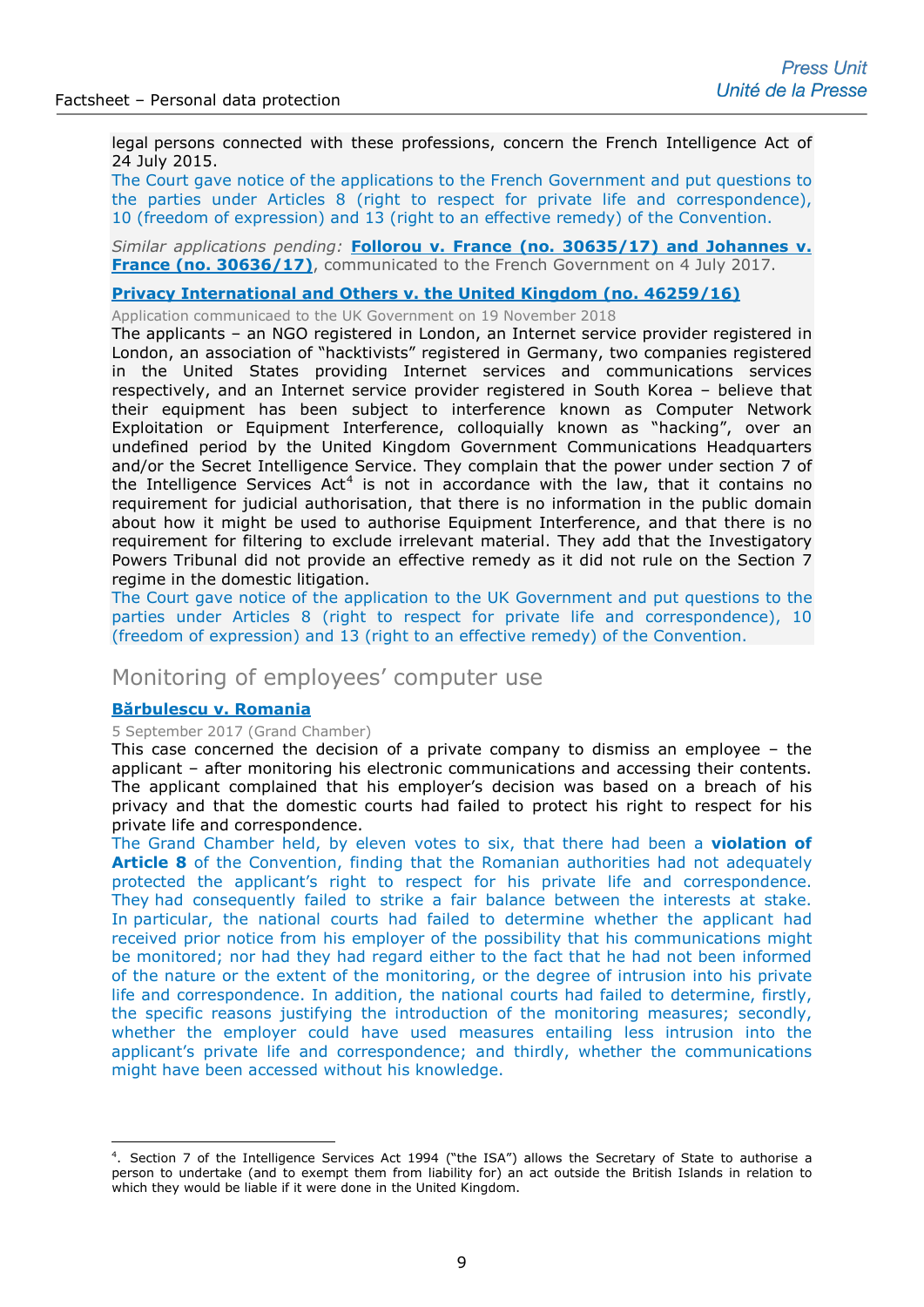legal persons connected with these professions, concern the French Intelligence Act of 24 July 2015.

The Court gave notice of the applications to the French Government and put questions to the parties under Articles 8 (right to respect for private life and correspondence), 10 (freedom of expression) and 13 (right to an effective remedy) of the Convention.

# *Similar applications pending:* **[Follorou v. France \(no. 30635/17\) and Johannes v.](http://hudoc.echr.coe.int/fre?i=001-175882)  [France \(no. 30636/17\)](http://hudoc.echr.coe.int/fre?i=001-175882)**, communicated to the French Government on 4 July 2017.

#### **[Privacy International and Others v. the United Kingdom \(no. 46259/16\)](http://hudoc.echr.coe.int/eng?i=001-188504)**

Application communicaed to the UK Government on 19 November 2018

The applicants – an NGO registered in London, an Internet service provider registered in London, an association of "hacktivists" registered in Germany, two companies registered in the United States providing Internet services and communications services respectively, and an Internet service provider registered in South Korea – believe that their equipment has been subject to interference known as Computer Network Exploitation or Equipment Interference, colloquially known as "hacking", over an undefined period by the United Kingdom Government Communications Headquarters and/or the Secret Intelligence Service. They complain that the power under section 7 of the Intelligence Services  $Act^4$  $Act^4$  is not in accordance with the law, that it contains no requirement for judicial authorisation, that there is no information in the public domain about how it might be used to authorise Equipment Interference, and that there is no requirement for filtering to exclude irrelevant material. They add that the Investigatory Powers Tribunal did not provide an effective remedy as it did not rule on the Section 7 regime in the domestic litigation.

The Court gave notice of the application to the UK Government and put questions to the parties under Articles 8 (right to respect for private life and correspondence), 10 (freedom of expression) and 13 (right to an effective remedy) of the Convention.

# Monitoring of employees' computer use

# **[Bărbulescu v. Romania](http://hudoc.echr.coe.int/eng-press?i=003-5825428-7419362)**

-

5 September 2017 (Grand Chamber)

This case concerned the decision of a private company to dismiss an employee – the applicant – after monitoring his electronic communications and accessing their contents. The applicant complained that his employer's decision was based on a breach of his privacy and that the domestic courts had failed to protect his right to respect for his private life and correspondence.

The Grand Chamber held, by eleven votes to six, that there had been a **violation of Article 8** of the Convention, finding that the Romanian authorities had not adequately protected the applicant's right to respect for his private life and correspondence. They had consequently failed to strike a fair balance between the interests at stake. In particular, the national courts had failed to determine whether the applicant had received prior notice from his employer of the possibility that his communications might be monitored; nor had they had regard either to the fact that he had not been informed of the nature or the extent of the monitoring, or the degree of intrusion into his private life and correspondence. In addition, the national courts had failed to determine, firstly, the specific reasons justifying the introduction of the monitoring measures; secondly, whether the employer could have used measures entailing less intrusion into the applicant's private life and correspondence; and thirdly, whether the communications might have been accessed without his knowledge.

<span id="page-8-0"></span><sup>4</sup> . Section 7 of the Intelligence Services Act 1994 ("the ISA") allows the Secretary of State to authorise a person to undertake (and to exempt them from liability for) an act outside the British Islands in relation to which they would be liable if it were done in the United Kingdom.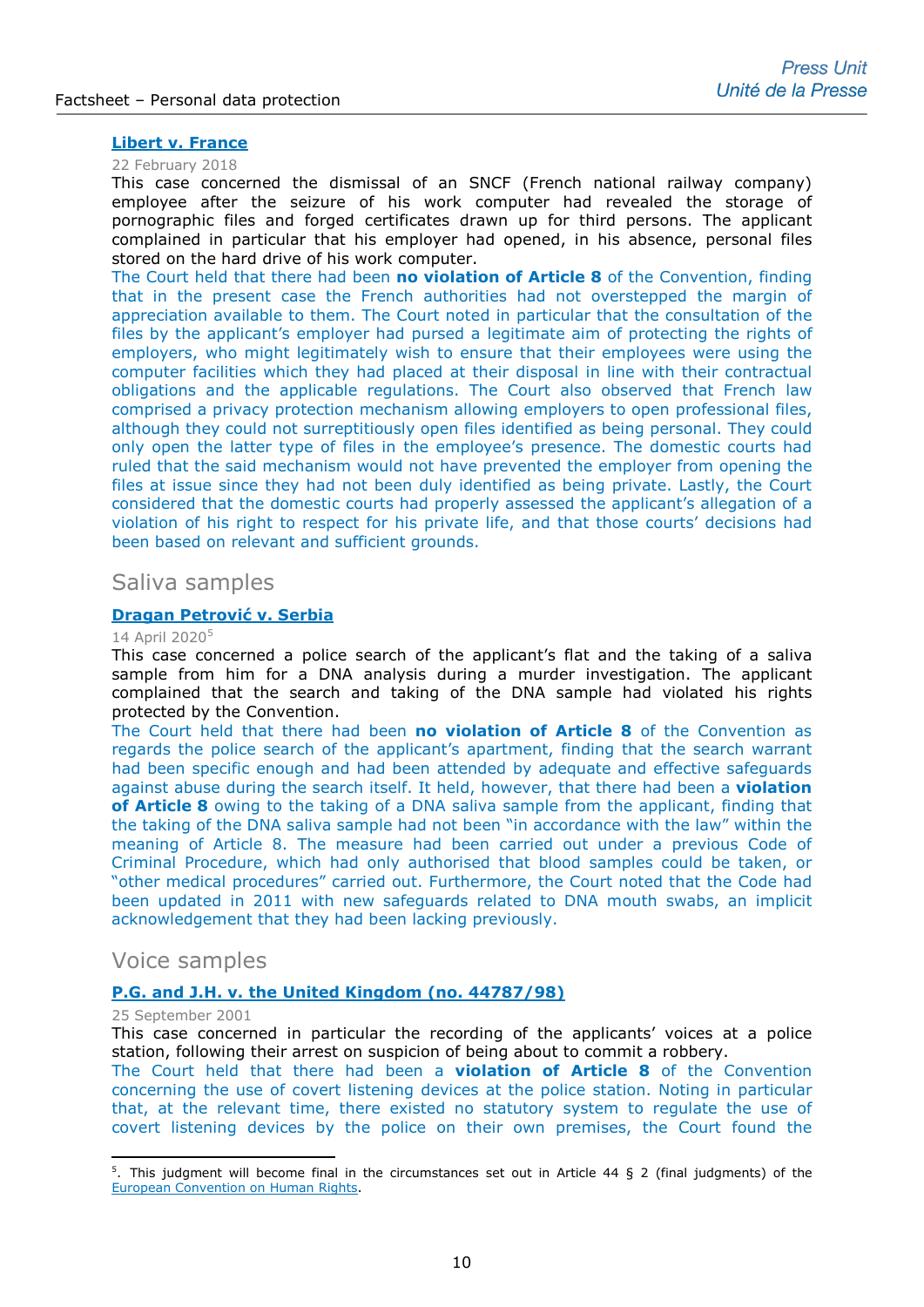# **[Libert v. France](http://hudoc.echr.coe.int/eng-press?i=003-6014614-7713110)**

#### 22 February 2018

This case concerned the dismissal of an SNCF (French national railway company) employee after the seizure of his work computer had revealed the storage of pornographic files and forged certificates drawn up for third persons. The applicant complained in particular that his employer had opened, in his absence, personal files stored on the hard drive of his work computer.

The Court held that there had been **no violation of Article 8** of the Convention, finding that in the present case the French authorities had not overstepped the margin of appreciation available to them. The Court noted in particular that the consultation of the files by the applicant's employer had pursed a legitimate aim of protecting the rights of employers, who might legitimately wish to ensure that their employees were using the computer facilities which they had placed at their disposal in line with their contractual obligations and the applicable regulations. The Court also observed that French law comprised a privacy protection mechanism allowing employers to open professional files, although they could not surreptitiously open files identified as being personal. They could only open the latter type of files in the employee's presence. The domestic courts had ruled that the said mechanism would not have prevented the employer from opening the files at issue since they had not been duly identified as being private. Lastly, the Court considered that the domestic courts had properly assessed the applicant's allegation of a violation of his right to respect for his private life, and that those courts' decisions had been based on relevant and sufficient grounds.

# Saliva samples

#### **[Dragan Petrović](http://hudoc.echr.coe.int/eng-press?i=003-6676515-8881179) v. Serbia**

#### 14 April 2020[5](#page-9-0)

This case concerned a police search of the applicant's flat and the taking of a saliva sample from him for a DNA analysis during a murder investigation. The applicant complained that the search and taking of the DNA sample had violated his rights protected by the Convention.

The Court held that there had been **no violation of Article 8** of the Convention as regards the police search of the applicant's apartment, finding that the search warrant had been specific enough and had been attended by adequate and effective safeguards against abuse during the search itself. It held, however, that there had been a **violation of Article 8** owing to the taking of a DNA saliva sample from the applicant, finding that the taking of the DNA saliva sample had not been "in accordance with the law" within the meaning of Article 8. The measure had been carried out under a previous Code of Criminal Procedure, which had only authorised that blood samples could be taken, or "other medical procedures" carried out. Furthermore, the Court noted that the Code had been updated in 2011 with new safeguards related to DNA mouth swabs, an implicit acknowledgement that they had been lacking previously.

# Voice samples

# **[P.G. and J.H. v. the United Kingdom \(no. 44787/98\)](http://hudoc.echr.coe.int/eng-press?i=003-419654-419935)**

#### 25 September 2001

-

This case concerned in particular the recording of the applicants' voices at a police station, following their arrest on suspicion of being about to commit a robbery.

The Court held that there had been a **violation of Article 8** of the Convention concerning the use of covert listening devices at the police station. Noting in particular that, at the relevant time, there existed no statutory system to regulate the use of covert listening devices by the police on their own premises, the Court found the

<span id="page-9-0"></span><sup>5</sup> . This judgment will become final in the circumstances set out in Article 44 § 2 (final judgments) of the [European Convention on Human Rights.](http://www.echr.coe.int/Documents/Convention_ENG.pdf)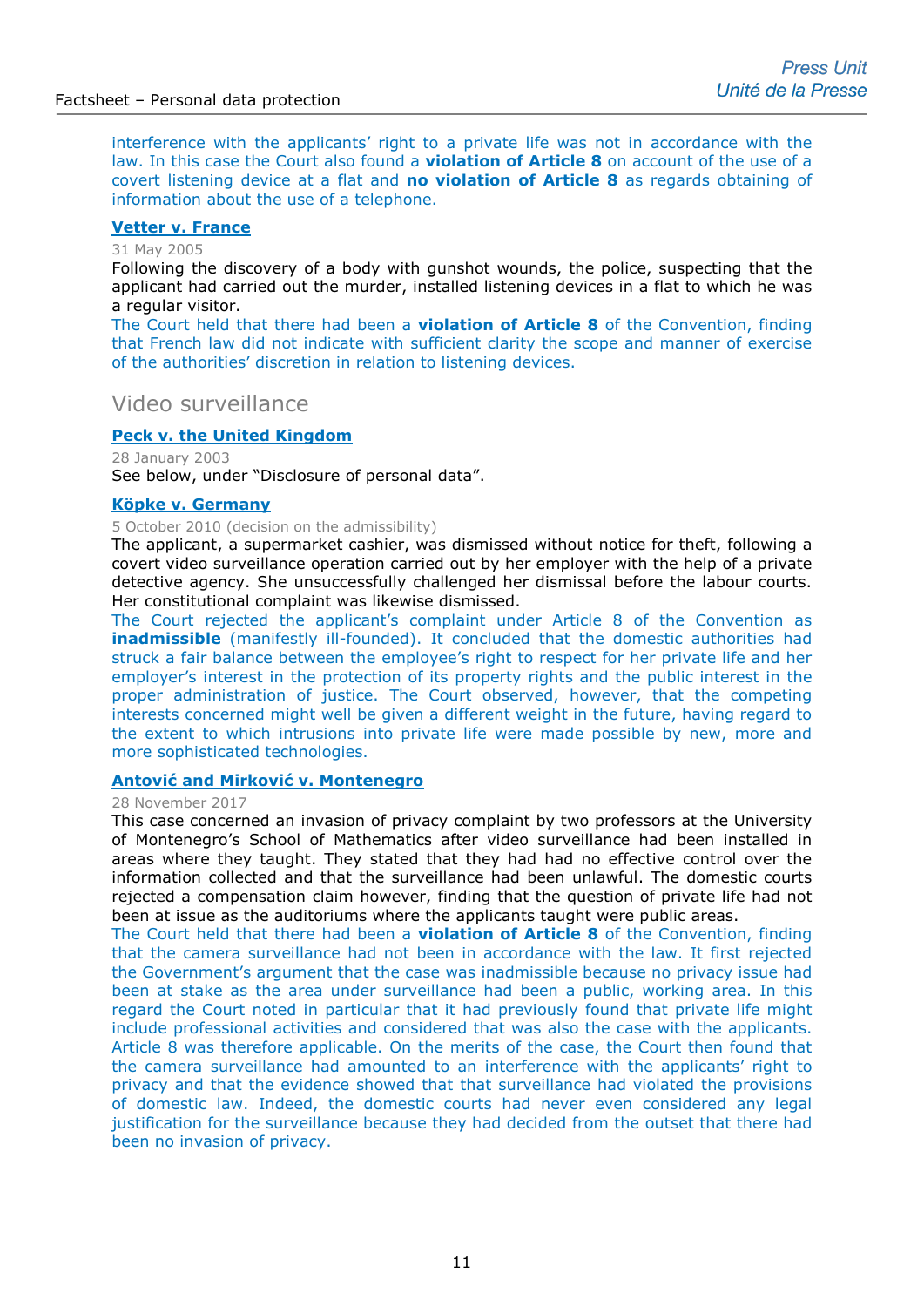interference with the applicants' right to a private life was not in accordance with the law. In this case the Court also found a **violation of Article 8** on account of the use of a covert listening device at a flat and **no violation of Article 8** as regards obtaining of information about the use of a telephone.

# **[Vetter v. France](http://hudoc.echr.coe.int/eng-press?i=002-3861)**

# 31 May 2005

Following the discovery of a body with gunshot wounds, the police, suspecting that the applicant had carried out the murder, installed listening devices in a flat to which he was a regular visitor.

The Court held that there had been a **violation of Article 8** of the Convention, finding that French law did not indicate with sufficient clarity the scope and manner of exercise of the authorities' discretion in relation to listening devices.

# Video surveillance

# **[Peck v. the United Kingdom](http://hudoc.echr.coe.int/sites/eng-press/pages/search.aspx?i=003-687182-694690)**

28 January 2003 See below, under "Disclosure of personal data".

# **[Köpke v. Germany](http://hudoc.echr.coe.int/sites/eng/pages/search.aspx?i=002-782)**

#### 5 October 2010 (decision on the admissibility)

The applicant, a supermarket cashier, was dismissed without notice for theft, following a covert video surveillance operation carried out by her employer with the help of a private detective agency. She unsuccessfully challenged her dismissal before the labour courts. Her constitutional complaint was likewise dismissed.

The Court rejected the applicant's complaint under Article 8 of the Convention as **inadmissible** (manifestly ill-founded). It concluded that the domestic authorities had struck a fair balance between the employee's right to respect for her private life and her employer's interest in the protection of its property rights and the public interest in the proper administration of justice. The Court observed, however, that the competing interests concerned might well be given a different weight in the future, having regard to the extent to which intrusions into private life were made possible by new, more and more sophisticated technologies.

# **Antov[ić and Mirković v. Montenegro](http://hudoc.echr.coe.int/eng-press?i=003-5927767-7571421)**

#### 28 November 2017

This case concerned an invasion of privacy complaint by two professors at the University of Montenegro's School of Mathematics after video surveillance had been installed in areas where they taught. They stated that they had had no effective control over the information collected and that the surveillance had been unlawful. The domestic courts rejected a compensation claim however, finding that the question of private life had not been at issue as the auditoriums where the applicants taught were public areas.

The Court held that there had been a **violation of Article 8** of the Convention, finding that the camera surveillance had not been in accordance with the law. It first rejected the Government's argument that the case was inadmissible because no privacy issue had been at stake as the area under surveillance had been a public, working area. In this regard the Court noted in particular that it had previously found that private life might include professional activities and considered that was also the case with the applicants. Article 8 was therefore applicable. On the merits of the case, the Court then found that the camera surveillance had amounted to an interference with the applicants' right to privacy and that the evidence showed that that surveillance had violated the provisions of domestic law. Indeed, the domestic courts had never even considered any legal justification for the surveillance because they had decided from the outset that there had been no invasion of privacy.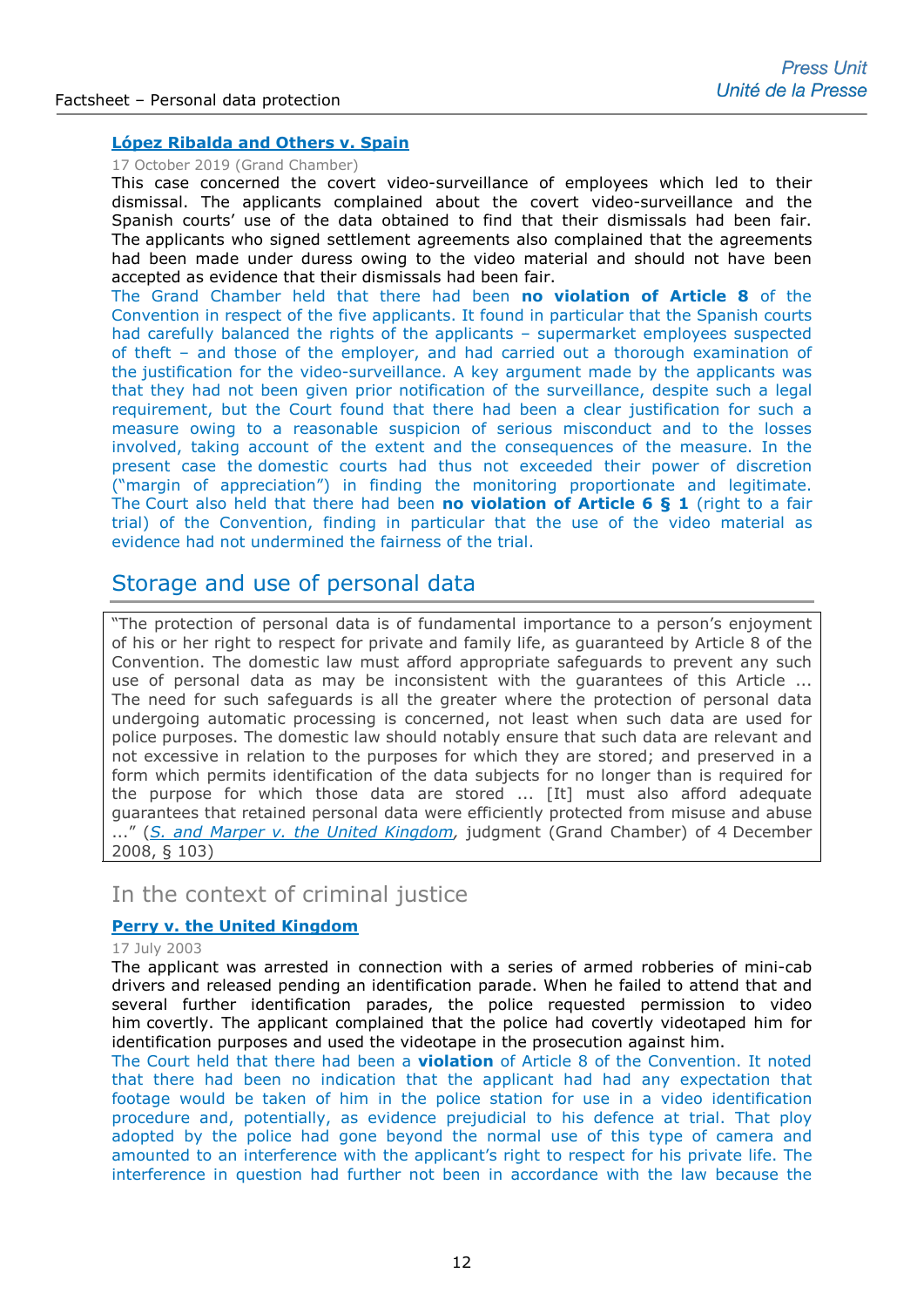# **[López Ribalda and Others v. Spain](http://hudoc.echr.coe.int/eng-press?i=003-6538808-8642219)**

#### 17 October 2019 (Grand Chamber)

This case concerned the covert video-surveillance of employees which led to their dismissal. The applicants complained about the covert video-surveillance and the Spanish courts' use of the data obtained to find that their dismissals had been fair. The applicants who signed settlement agreements also complained that the agreements had been made under duress owing to the video material and should not have been accepted as evidence that their dismissals had been fair.

The Grand Chamber held that there had been **no violation of Article 8** of the Convention in respect of the five applicants. It found in particular that the Spanish courts had carefully balanced the rights of the applicants – supermarket employees suspected of theft – and those of the employer, and had carried out a thorough examination of the justification for the video-surveillance. A key argument made by the applicants was that they had not been given prior notification of the surveillance, despite such a legal requirement, but the Court found that there had been a clear justification for such a measure owing to a reasonable suspicion of serious misconduct and to the losses involved, taking account of the extent and the consequences of the measure. In the present case the domestic courts had thus not exceeded their power of discretion ("margin of appreciation") in finding the monitoring proportionate and legitimate. The Court also held that there had been **no violation of Article 6 § 1** (right to a fair trial) of the Convention, finding in particular that the use of the video material as evidence had not undermined the fairness of the trial.

# Storage and use of personal data

"The protection of personal data is of fundamental importance to a person's enjoyment of his or her right to respect for private and family life, as guaranteed by Article 8 of the Convention. The domestic law must afford appropriate safeguards to prevent any such use of personal data as may be inconsistent with the guarantees of this Article ... The need for such safeguards is all the greater where the protection of personal data undergoing automatic processing is concerned, not least when such data are used for police purposes. The domestic law should notably ensure that such data are relevant and not excessive in relation to the purposes for which they are stored; and preserved in a form which permits identification of the data subjects for no longer than is required for the purpose for which those data are stored ... [It] must also afford adequate guarantees that retained personal data were efficiently protected from misuse and abuse ..." (*[S. and Marper v. the United Kingdom,](http://hudoc.echr.coe.int/eng?i=001-90051)* judgment (Grand Chamber) of 4 December 2008, § 103)

# In the context of criminal justice

# **[Perry v. the United Kingdom](http://hudoc.echr.coe.int/sites/eng/pages/search.aspx?i=001-61228)**

# 17 July 2003

The applicant was arrested in connection with a series of armed robberies of mini-cab drivers and released pending an identification parade. When he failed to attend that and several further identification parades, the police requested permission to video him covertly. The applicant complained that the police had covertly videotaped him for identification purposes and used the videotape in the prosecution against him.

The Court held that there had been a **violation** of Article 8 of the Convention. It noted that there had been no indication that the applicant had had any expectation that footage would be taken of him in the police station for use in a video identification procedure and, potentially, as evidence prejudicial to his defence at trial. That ploy adopted by the police had gone beyond the normal use of this type of camera and amounted to an interference with the applicant's right to respect for his private life. The interference in question had further not been in accordance with the law because the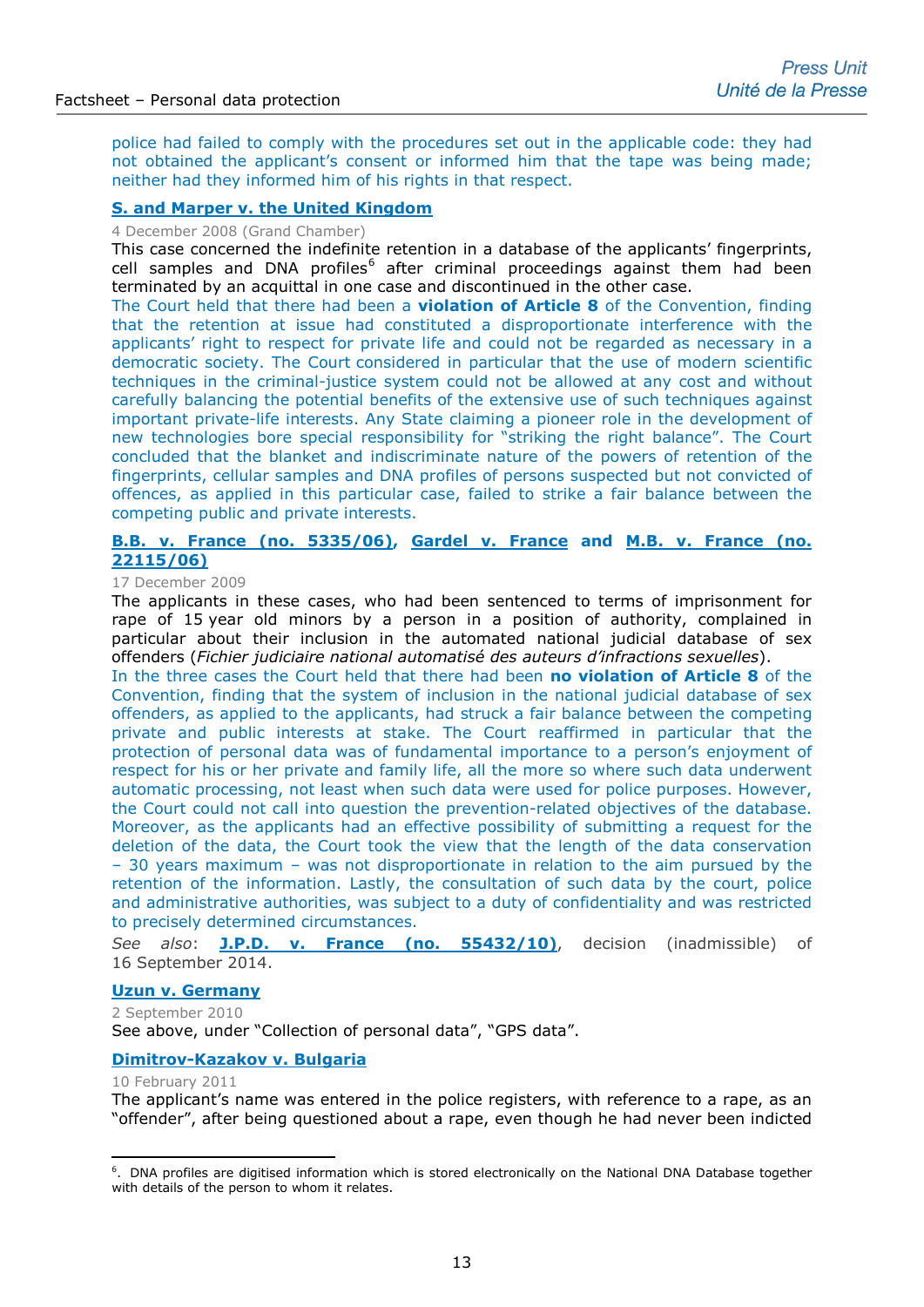police had failed to comply with the procedures set out in the applicable code: they had not obtained the applicant's consent or informed him that the tape was being made; neither had they informed him of his rights in that respect.

# **[S. and Marper v. the United Kingdom](http://hudoc.echr.coe.int/sites/eng-press/pages/search.aspx?i=003-2571936-2784147)**

4 December 2008 (Grand Chamber)

This case concerned the indefinite retention in a database of the applicants' fingerprints, cell samples and DNA profiles $6$  after criminal proceedings against them had been terminated by an acquittal in one case and discontinued in the other case.

The Court held that there had been a **violation of Article 8** of the Convention, finding that the retention at issue had constituted a disproportionate interference with the applicants' right to respect for private life and could not be regarded as necessary in a democratic society. The Court considered in particular that the use of modern scientific techniques in the criminal-justice system could not be allowed at any cost and without carefully balancing the potential benefits of the extensive use of such techniques against important private-life interests. Any State claiming a pioneer role in the development of new technologies bore special responsibility for "striking the right balance". The Court concluded that the blanket and indiscriminate nature of the powers of retention of the fingerprints, cellular samples and DNA profiles of persons suspected but not convicted of offences, as applied in this particular case, failed to strike a fair balance between the competing public and private interests.

# **[B.B. v. France \(no. 5335/06\), Gardel v. France](http://hudoc.echr.coe.int/sites/fra-press/pages/search.aspx?i=003-4480954-5400075) and M.B. v. France (no. [22115/06\)](http://hudoc.echr.coe.int/sites/fra-press/pages/search.aspx?i=003-4480954-5400075)**

#### 17 December 2009

The applicants in these cases, who had been sentenced to terms of imprisonment for rape of 15 year old minors by a person in a position of authority, complained in particular about their inclusion in the automated national judicial database of sex offenders (*Fichier judiciaire national automatisé des auteurs d'infractions sexuelles*).

In the three cases the Court held that there had been **no violation of Article 8** of the Convention, finding that the system of inclusion in the national judicial database of sex offenders, as applied to the applicants, had struck a fair balance between the competing private and public interests at stake. The Court reaffirmed in particular that the protection of personal data was of fundamental importance to a person's enjoyment of respect for his or her private and family life, all the more so where such data underwent automatic processing, not least when such data were used for police purposes. However, the Court could not call into question the prevention-related objectives of the database. Moreover, as the applicants had an effective possibility of submitting a request for the deletion of the data, the Court took the view that the length of the data conservation – 30 years maximum – was not disproportionate in relation to the aim pursued by the retention of the information. Lastly, the consultation of such data by the court, police and administrative authorities, was subject to a duty of confidentiality and was restricted to precisely determined circumstances.

*See also*: **[J.P.D. v. France \(no. 55432/10\)](http://hudoc.echr.coe.int/eng?i=001-147352)**, decision (inadmissible) of 16 September 2014.

# **[Uzun v. Germany](http://hudoc.echr.coe.int/sites/eng-press/pages/search.aspx?i=003-3241790-3612154)**

2 September 2010 See above, under "Collection of personal data", "GPS data".

# **[Dimitrov-Kazakov v. Bulgaria](http://hudoc.echr.coe.int/eng?i=001-103259)**

10 February 2011

-

The applicant's name was entered in the police registers, with reference to a rape, as an "offender", after being questioned about a rape, even though he had never been indicted

<span id="page-12-0"></span><sup>&</sup>lt;sup>6</sup>. DNA profiles are digitised information which is stored electronically on the National DNA Database together with details of the person to whom it relates.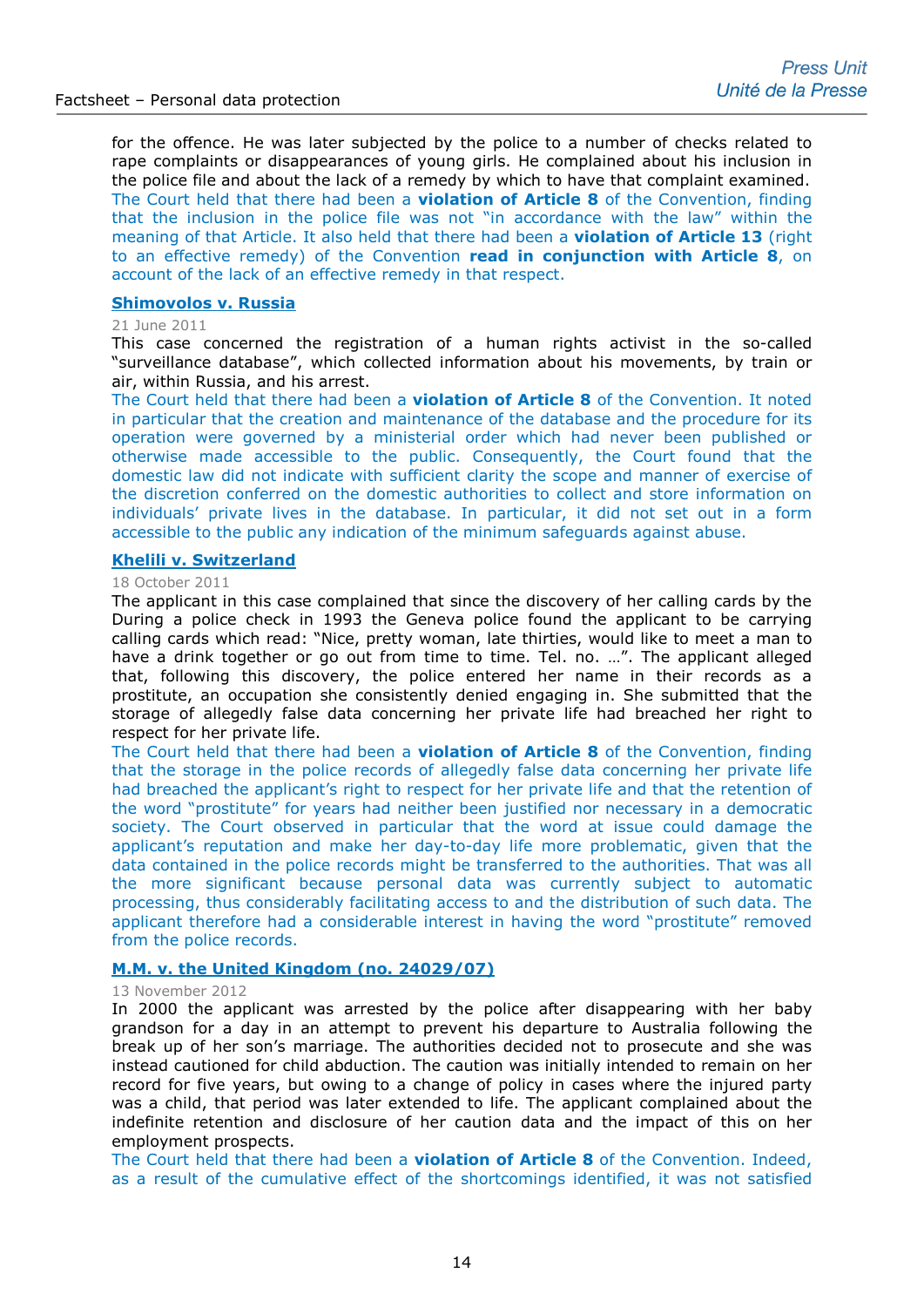for the offence. He was later subjected by the police to a number of checks related to rape complaints or disappearances of young girls. He complained about his inclusion in the police file and about the lack of a remedy by which to have that complaint examined. The Court held that there had been a **violation of Article 8** of the Convention, finding that the inclusion in the police file was not "in accordance with the law" within the meaning of that Article. It also held that there had been a **violation of Article 13** (right to an effective remedy) of the Convention **read in conjunction with Article 8**, on account of the lack of an effective remedy in that respect.

# **[Shimovolos v. Russia](http://hudoc.echr.coe.int/sites/eng-press/pages/search.aspx?i=003-3581541-4053078)**

# 21 June 2011

This case concerned the registration of a human rights activist in the so-called "surveillance database", which collected information about his movements, by train or air, within Russia, and his arrest.

The Court held that there had been a **violation of Article 8** of the Convention. It noted in particular that the creation and maintenance of the database and the procedure for its operation were governed by a ministerial order which had never been published or otherwise made accessible to the public. Consequently, the Court found that the domestic law did not indicate with sufficient clarity the scope and manner of exercise of the discretion conferred on the domestic authorities to collect and store information on individuals' private lives in the database. In particular, it did not set out in a form accessible to the public any indication of the minimum safeguards against abuse.

### **[Khelili v. Switzerland](http://hudoc.echr.coe.int/eng-press?i=003-3714372-4232718)**

#### 18 October 2011

The applicant in this case complained that since the discovery of her calling cards by the During a police check in 1993 the Geneva police found the applicant to be carrying calling cards which read: "Nice, pretty woman, late thirties, would like to meet a man to have a drink together or go out from time to time. Tel. no. …". The applicant alleged that, following this discovery, the police entered her name in their records as a prostitute, an occupation she consistently denied engaging in. She submitted that the storage of allegedly false data concerning her private life had breached her right to respect for her private life.

The Court held that there had been a **violation of Article 8** of the Convention, finding that the storage in the police records of allegedly false data concerning her private life had breached the applicant's right to respect for her private life and that the retention of the word "prostitute" for years had neither been justified nor necessary in a democratic society. The Court observed in particular that the word at issue could damage the applicant's reputation and make her day-to-day life more problematic, given that the data contained in the police records might be transferred to the authorities. That was all the more significant because personal data was currently subject to automatic processing, thus considerably facilitating access to and the distribution of such data. The applicant therefore had a considerable interest in having the word "prostitute" removed from the police records.

#### **[M.M. v. the United Kingdom \(no. 24029/07\)](http://hudoc.echr.coe.int/eng?i=002-7300)**

#### 13 November 2012

In 2000 the applicant was arrested by the police after disappearing with her baby grandson for a day in an attempt to prevent his departure to Australia following the break up of her son's marriage. The authorities decided not to prosecute and she was instead cautioned for child abduction. The caution was initially intended to remain on her record for five years, but owing to a change of policy in cases where the injured party was a child, that period was later extended to life. The applicant complained about the indefinite retention and disclosure of her caution data and the impact of this on her employment prospects.

The Court held that there had been a **violation of Article 8** of the Convention. Indeed, as a result of the cumulative effect of the shortcomings identified, it was not satisfied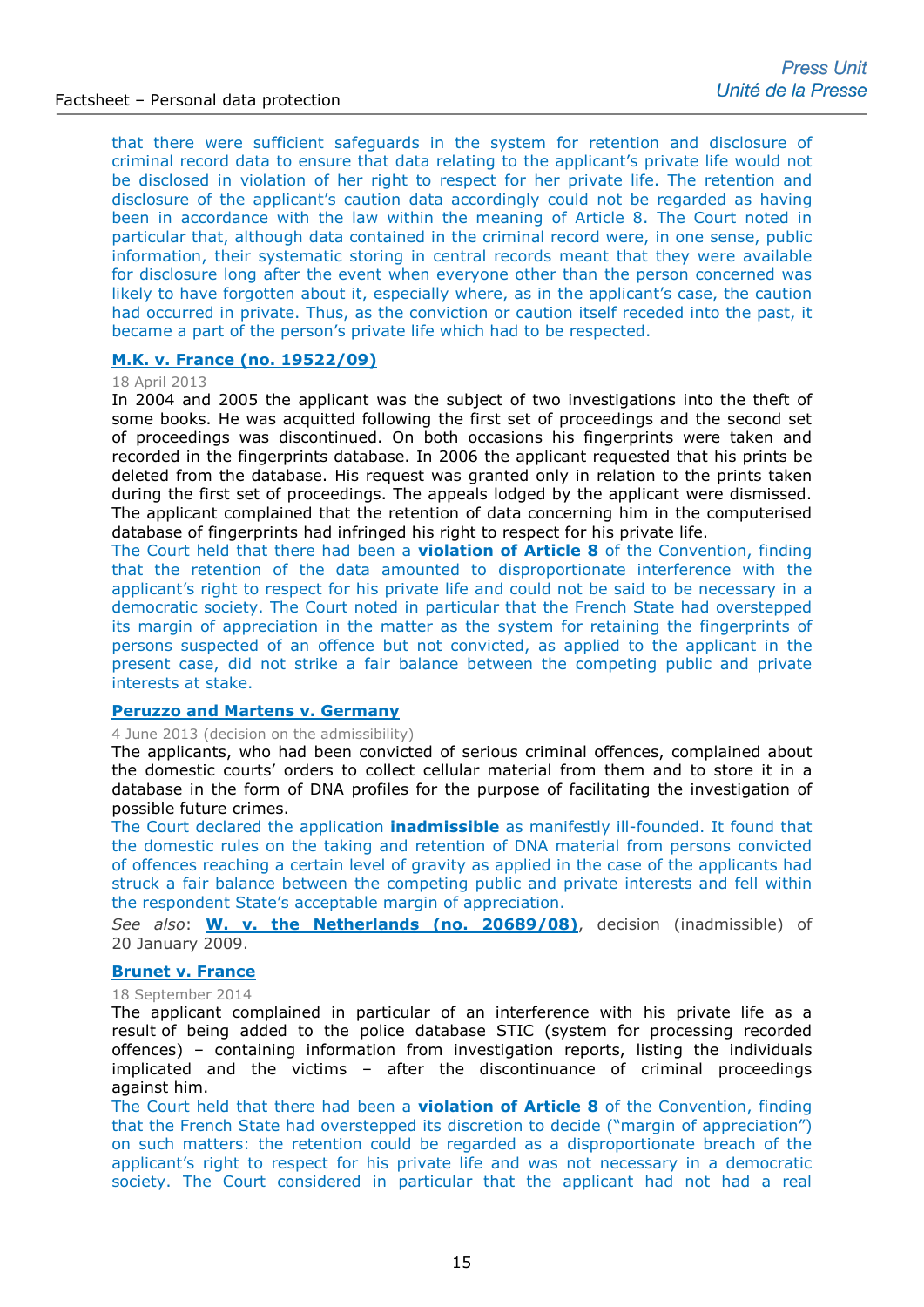that there were sufficient safeguards in the system for retention and disclosure of criminal record data to ensure that data relating to the applicant's private life would not be disclosed in violation of her right to respect for her private life. The retention and disclosure of the applicant's caution data accordingly could not be regarded as having been in accordance with the law within the meaning of Article 8. The Court noted in particular that, although data contained in the criminal record were, in one sense, public information, their systematic storing in central records meant that they were available for disclosure long after the event when everyone other than the person concerned was likely to have forgotten about it, especially where, as in the applicant's case, the caution had occurred in private. Thus, as the conviction or caution itself receded into the past, it became a part of the person's private life which had to be respected.

# **[M.K. v. France \(no.](http://hudoc.echr.coe.int/sites/fra-press/pages/search.aspx?i=003-4332390-5192548) 19522/09)**

#### 18 April 2013

In 2004 and 2005 the applicant was the subject of two investigations into the theft of some books. He was acquitted following the first set of proceedings and the second set of proceedings was discontinued. On both occasions his fingerprints were taken and recorded in the fingerprints database. In 2006 the applicant requested that his prints be deleted from the database. His request was granted only in relation to the prints taken during the first set of proceedings. The appeals lodged by the applicant were dismissed. The applicant complained that the retention of data concerning him in the computerised database of fingerprints had infringed his right to respect for his private life.

The Court held that there had been a **violation of Article 8** of the Convention, finding that the retention of the data amounted to disproportionate interference with the applicant's right to respect for his private life and could not be said to be necessary in a democratic society. The Court noted in particular that the French State had overstepped its margin of appreciation in the matter as the system for retaining the fingerprints of persons suspected of an offence but not convicted, as applied to the applicant in the present case, did not strike a fair balance between the competing public and private interests at stake.

# **[Peruzzo and Martens v. Germany](http://hudoc.echr.coe.int/eng?i=002-7614)**

4 June 2013 (decision on the admissibility)

The applicants, who had been convicted of serious criminal offences, complained about the domestic courts' orders to collect cellular material from them and to store it in a database in the form of DNA profiles for the purpose of facilitating the investigation of possible future crimes.

The Court declared the application **inadmissible** as manifestly ill-founded. It found that the domestic rules on the taking and retention of DNA material from persons convicted of offences reaching a certain level of gravity as applied in the case of the applicants had struck a fair balance between the competing public and private interests and fell within the respondent State's acceptable margin of appreciation.

*See also*: **[W. v. the Netherlands \(no. 20689/08\)](http://hudoc.echr.coe.int/eng?i=001-91123)**, decision (inadmissible) of 20 January 2009.

#### **[Brunet v. France](http://hudoc.echr.coe.int/eng-press?i=003-4872410-5953858)**

#### 18 September 2014

The applicant complained in particular of an interference with his private life as a result of being added to the police database STIC (system for processing recorded offences) – containing information from investigation reports, listing the individuals implicated and the victims – after the discontinuance of criminal proceedings against him.

The Court held that there had been a **violation of Article 8** of the Convention, finding that the French State had overstepped its discretion to decide ("margin of appreciation") on such matters: the retention could be regarded as a disproportionate breach of the applicant's right to respect for his private life and was not necessary in a democratic society. The Court considered in particular that the applicant had not had a real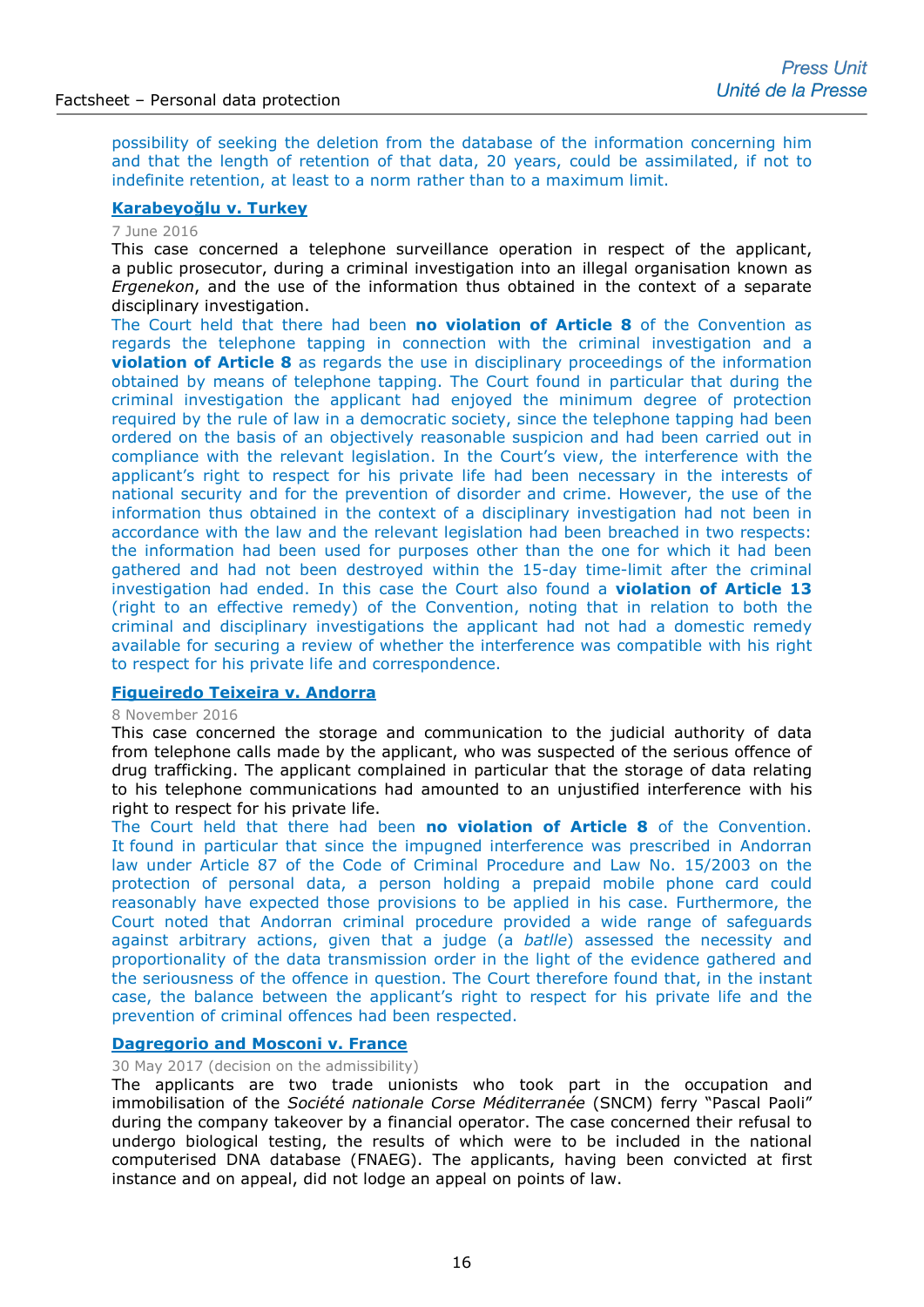possibility of seeking the deletion from the database of the information concerning him and that the length of retention of that data, 20 years, could be assimilated, if not to indefinite retention, at least to a norm rather than to a maximum limit.

# **[Karabeyoğlu v. Turkey](http://hudoc.echr.coe.int/eng?i=003-5398113-6750774)**

#### 7 June 2016

This case concerned a telephone surveillance operation in respect of the applicant, a public prosecutor, during a criminal investigation into an illegal organisation known as *Ergenekon*, and the use of the information thus obtained in the context of a separate disciplinary investigation.

The Court held that there had been **no violation of Article 8** of the Convention as regards the telephone tapping in connection with the criminal investigation and a **violation of Article 8** as regards the use in disciplinary proceedings of the information obtained by means of telephone tapping. The Court found in particular that during the criminal investigation the applicant had enjoyed the minimum degree of protection required by the rule of law in a democratic society, since the telephone tapping had been ordered on the basis of an objectively reasonable suspicion and had been carried out in compliance with the relevant legislation. In the Court's view, the interference with the applicant's right to respect for his private life had been necessary in the interests of national security and for the prevention of disorder and crime. However, the use of the information thus obtained in the context of a disciplinary investigation had not been in accordance with the law and the relevant legislation had been breached in two respects: the information had been used for purposes other than the one for which it had been gathered and had not been destroyed within the 15-day time-limit after the criminal investigation had ended. In this case the Court also found a **violation of Article 13** (right to an effective remedy) of the Convention, noting that in relation to both the criminal and disciplinary investigations the applicant had not had a domestic remedy available for securing a review of whether the interference was compatible with his right to respect for his private life and correspondence.

#### **[Figueiredo Teixeira v. Andorra](http://hudoc.echr.coe.int/eng-press?i=003-5539990-6976357)**

#### 8 November 2016

This case concerned the storage and communication to the judicial authority of data from telephone calls made by the applicant, who was suspected of the serious offence of drug trafficking. The applicant complained in particular that the storage of data relating to his telephone communications had amounted to an unjustified interference with his right to respect for his private life.

The Court held that there had been **no violation of Article 8** of the Convention. It found in particular that since the impugned interference was prescribed in Andorran law under Article 87 of the Code of Criminal Procedure and Law No. 15/2003 on the protection of personal data, a person holding a prepaid mobile phone card could reasonably have expected those provisions to be applied in his case. Furthermore, the Court noted that Andorran criminal procedure provided a wide range of safeguards against arbitrary actions, given that a judge (a *batlle*) assessed the necessity and proportionality of the data transmission order in the light of the evidence gathered and the seriousness of the offence in question. The Court therefore found that, in the instant case, the balance between the applicant's right to respect for his private life and the prevention of criminal offences had been respected.

# **[Dagregorio and Mosconi v. France](http://hudoc.echr.coe.int/eng-press?i=003-5758396-7320011)**

# 30 May 2017 (decision on the admissibility)

The applicants are two trade unionists who took part in the occupation and immobilisation of the *Société nationale Corse Méditerranée* (SNCM) ferry "Pascal Paoli" during the company takeover by a financial operator. The case concerned their refusal to undergo biological testing, the results of which were to be included in the national computerised DNA database (FNAEG). The applicants, having been convicted at first instance and on appeal, did not lodge an appeal on points of law.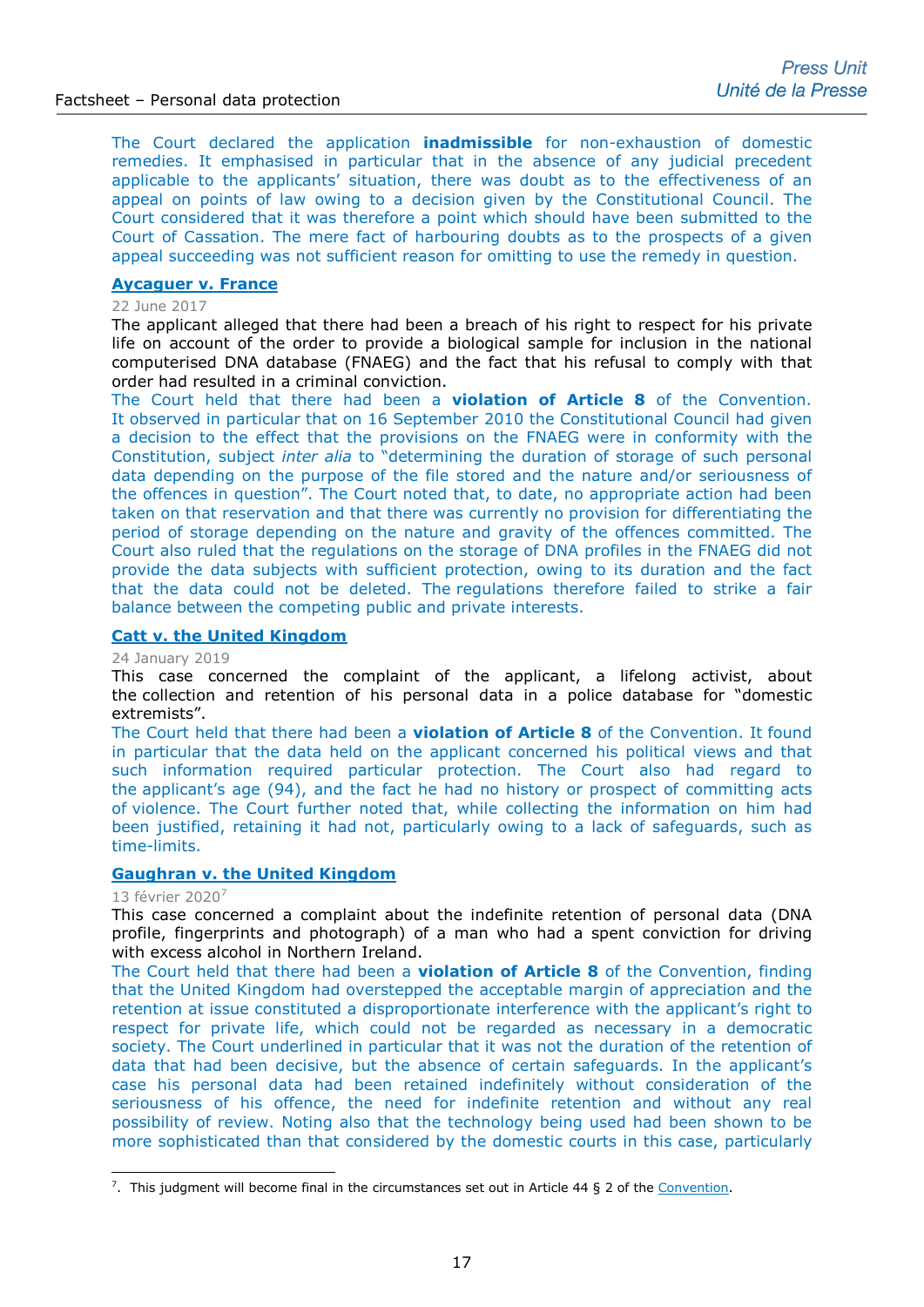The Court declared the application **inadmissible** for non-exhaustion of domestic remedies. It emphasised in particular that in the absence of any judicial precedent applicable to the applicants' situation, there was doubt as to the effectiveness of an appeal on points of law owing to a decision given by the Constitutional Council. The Court considered that it was therefore a point which should have been submitted to the Court of Cassation. The mere fact of harbouring doubts as to the prospects of a given appeal succeeding was not sufficient reason for omitting to use the remedy in question.

# **[Aycaguer v. France](http://hudoc.echr.coe.int/eng-press?i=003-5758394-7320005)**

#### 22 June 2017

The applicant alleged that there had been a breach of his right to respect for his private life on account of the order to provide a biological sample for inclusion in the national computerised DNA database (FNAEG) and the fact that his refusal to comply with that order had resulted in a criminal conviction.

The Court held that there had been a **violation of Article 8** of the Convention. It observed in particular that on 16 September 2010 the Constitutional Council had given a decision to the effect that the provisions on the FNAEG were in conformity with the Constitution, subject *inter alia* to "determining the duration of storage of such personal data depending on the purpose of the file stored and the nature and/or seriousness of the offences in question". The Court noted that, to date, no appropriate action had been taken on that reservation and that there was currently no provision for differentiating the period of storage depending on the nature and gravity of the offences committed. The Court also ruled that the regulations on the storage of DNA profiles in the FNAEG did not provide the data subjects with sufficient protection, owing to its duration and the fact that the data could not be deleted. The regulations therefore failed to strike a fair balance between the competing public and private interests.

# **[Catt v. the United Kingdom](http://hudoc.echr.coe.int/fre-press?i=003-6308613-8238123)**

#### 24 January 2019

This case concerned the complaint of the applicant, a lifelong activist, about the collection and retention of his personal data in a police database for "domestic extremists".

The Court held that there had been a **violation of Article 8** of the Convention. It found in particular that the data held on the applicant concerned his political views and that such information required particular protection. The Court also had regard to the applicant's age (94), and the fact he had no history or prospect of committing acts of violence. The Court further noted that, while collecting the information on him had been justified, retaining it had not, particularly owing to a lack of safeguards, such as time-limits.

# **[Gaughran v. the United Kingdom](http://hudoc.echr.coe.int/eng-press?i=003-6638275-8815904)**

# 13 février 2020[7](#page-16-0)

This case concerned a complaint about the indefinite retention of personal data (DNA profile, fingerprints and photograph) of a man who had a spent conviction for driving with excess alcohol in Northern Ireland.

The Court held that there had been a **violation of Article 8** of the Convention, finding that the United Kingdom had overstepped the acceptable margin of appreciation and the retention at issue constituted a disproportionate interference with the applicant's right to respect for private life, which could not be regarded as necessary in a democratic society. The Court underlined in particular that it was not the duration of the retention of data that had been decisive, but the absence of certain safeguards. In the applicant's case his personal data had been retained indefinitely without consideration of the seriousness of his offence, the need for indefinite retention and without any real possibility of review. Noting also that the technology being used had been shown to be more sophisticated than that considered by the domestic courts in this case, particularly

<span id="page-16-0"></span><sup>&</sup>lt;sup>7</sup>. This judgment will become final in the circumstances set out in Article 44 § 2 of the [Convention.](http://www.echr.coe.int/Documents/Convention_ENG.pdf) -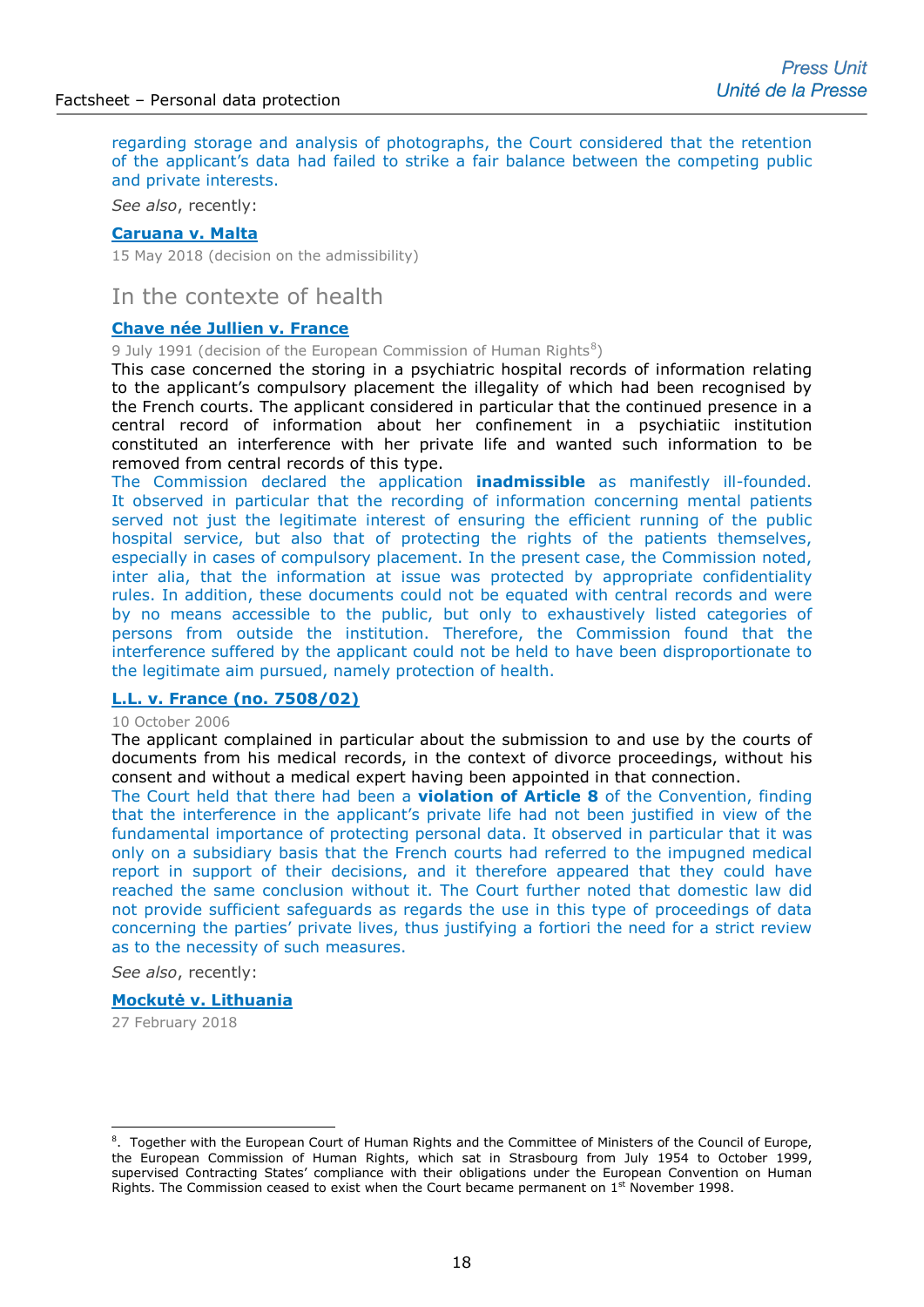regarding storage and analysis of photographs, the Court considered that the retention of the applicant's data had failed to strike a fair balance between the competing public and private interests.

*See also*, recently:

#### **[Caruana v. Malta](http://hudoc.echr.coe.int/eng?i=002-11944)**

15 May 2018 (decision on the admissibility)

# In the contexte of health

#### **[Chave née Jullien v. France](http://hudoc.echr.coe.int/eng?i=001-84765)**

9 July 1991 (decision of the European Commission of Human Rights $8$ )

This case concerned the storing in a psychiatric hospital records of information relating to the applicant's compulsory placement the illegality of which had been recognised by the French courts. The applicant considered in particular that the continued presence in a central record of information about her confinement in a psychiatiic institution constituted an interference with her private life and wanted such information to be removed from central records of this type.

The Commission declared the application **inadmissible** as manifestly ill-founded. It observed in particular that the recording of information concerning mental patients served not just the legitimate interest of ensuring the efficient running of the public hospital service, but also that of protecting the rights of the patients themselves, especially in cases of compulsory placement. In the present case, the Commission noted, inter alia, that the information at issue was protected by appropriate confidentiality rules. In addition, these documents could not be equated with central records and were by no means accessible to the public, but only to exhaustively listed categories of persons from outside the institution. Therefore, the Commission found that the interference suffered by the applicant could not be held to have been disproportionate to the legitimate aim pursued, namely protection of health.

#### **[L.L. v. France \(no. 7508/02\)](http://hudoc.echr.coe.int/sites/eng/pages/search.aspx?i=002-3113)**

#### 10 October 2006

The applicant complained in particular about the submission to and use by the courts of documents from his medical records, in the context of divorce proceedings, without his consent and without a medical expert having been appointed in that connection.

The Court held that there had been a **violation of Article 8** of the Convention, finding that the interference in the applicant's private life had not been justified in view of the fundamental importance of protecting personal data. It observed in particular that it was only on a subsidiary basis that the French courts had referred to the impugned medical report in support of their decisions, and it therefore appeared that they could have reached the same conclusion without it. The Court further noted that domestic law did not provide sufficient safeguards as regards the use in this type of proceedings of data concerning the parties' private lives, thus justifying a fortiori the need for a strict review as to the necessity of such measures.

*See also*, recently:

#### **[Mockutė v. Lithuania](http://hudoc.echr.coe.int/eng?i=003-6018993-7720478)**

27 February 2018

-

<span id="page-17-0"></span><sup>&</sup>lt;sup>8</sup>. Together with the European Court of Human Rights and the Committee of Ministers of the Council of Europe, the European Commission of Human Rights, which sat in Strasbourg from July 1954 to October 1999, supervised Contracting States' compliance with their obligations under the European Convention on Human Rights. The Commission ceased to exist when the Court became permanent on  $1<sup>st</sup>$  November 1998.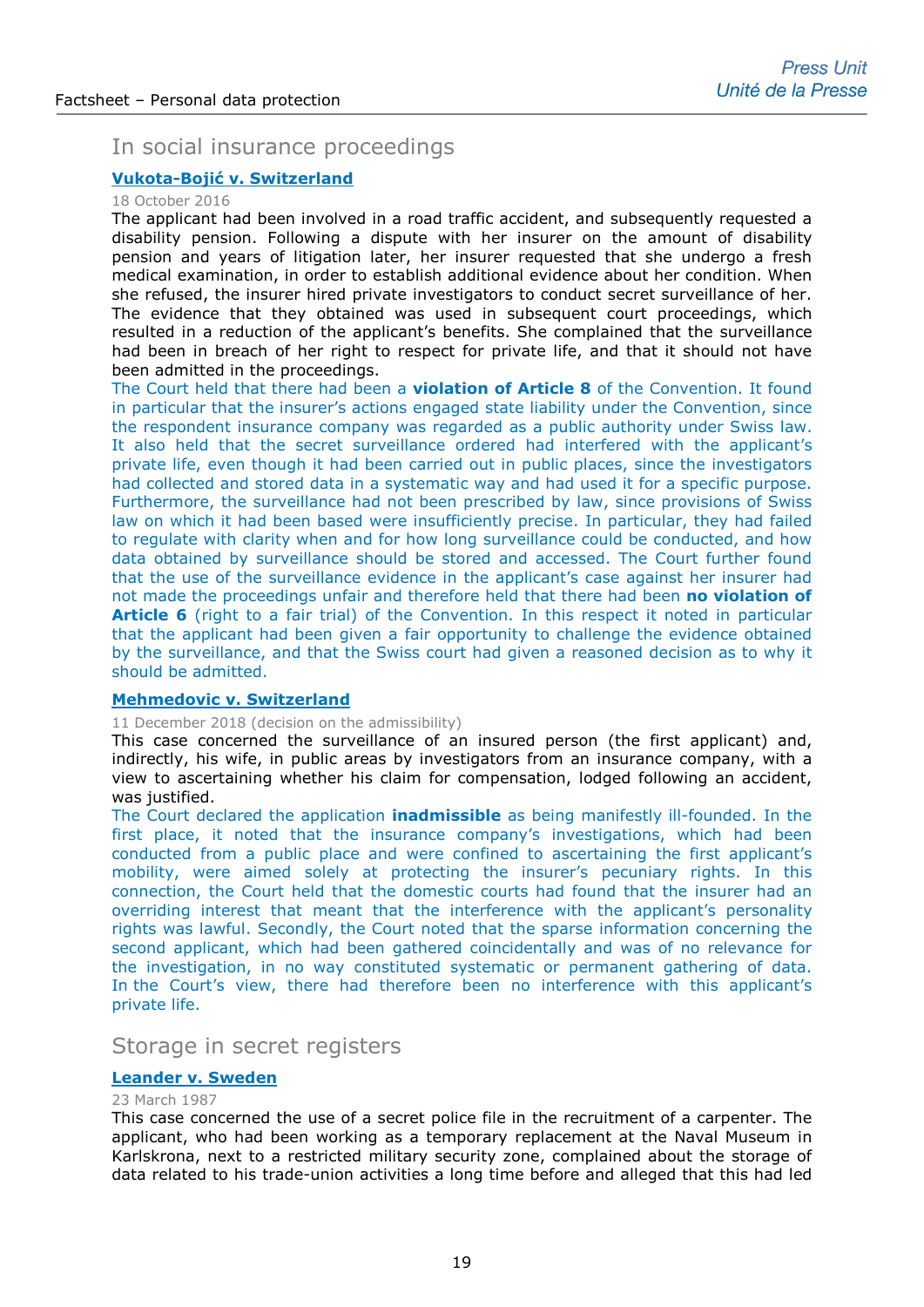# In social insurance proceedings

# **Vukota-Bojić [v. Switzerland](http://hudoc.echr.coe.int/eng-press?i=003-5522138-6947231)**

# 18 October 2016

The applicant had been involved in a road traffic accident, and subsequently requested a disability pension. Following a dispute with her insurer on the amount of disability pension and years of litigation later, her insurer requested that she undergo a fresh medical examination, in order to establish additional evidence about her condition. When she refused, the insurer hired private investigators to conduct secret surveillance of her. The evidence that they obtained was used in subsequent court proceedings, which resulted in a reduction of the applicant's benefits. She complained that the surveillance had been in breach of her right to respect for private life, and that it should not have been admitted in the proceedings.

The Court held that there had been a **violation of Article 8** of the Convention. It found in particular that the insurer's actions engaged state liability under the Convention, since the respondent insurance company was regarded as a public authority under Swiss law. It also held that the secret surveillance ordered had interfered with the applicant's private life, even though it had been carried out in public places, since the investigators had collected and stored data in a systematic way and had used it for a specific purpose. Furthermore, the surveillance had not been prescribed by law, since provisions of Swiss law on which it had been based were insufficiently precise. In particular, they had failed to regulate with clarity when and for how long surveillance could be conducted, and how data obtained by surveillance should be stored and accessed. The Court further found that the use of the surveillance evidence in the applicant's case against her insurer had not made the proceedings unfair and therefore held that there had been **no violation of Article 6** (right to a fair trial) of the Convention. In this respect it noted in particular that the applicant had been given a fair opportunity to challenge the evidence obtained by the surveillance, and that the Swiss court had given a reasoned decision as to why it should be admitted.

#### **[Mehmedovic v. Switzerland](http://hudoc.echr.coe.int/eng-press?i=003-6302554-8226649)**

# 11 December 2018 (decision on the admissibility)

This case concerned the surveillance of an insured person (the first applicant) and, indirectly, his wife, in public areas by investigators from an insurance company, with a view to ascertaining whether his claim for compensation, lodged following an accident, was justified.

The Court declared the application **inadmissible** as being manifestly ill-founded. In the first place, it noted that the insurance company's investigations, which had been conducted from a public place and were confined to ascertaining the first applicant's mobility, were aimed solely at protecting the insurer's pecuniary rights. In this connection, the Court held that the domestic courts had found that the insurer had an overriding interest that meant that the interference with the applicant's personality rights was lawful. Secondly, the Court noted that the sparse information concerning the second applicant, which had been gathered coincidentally and was of no relevance for the investigation, in no way constituted systematic or permanent gathering of data. In the Court's view, there had therefore been no interference with this applicant's private life.

# Storage in secret registers

# **[Leander v. Sweden](http://hudoc.echr.coe.int/eng?i=001-57519)**

# 23 March 1987

This case concerned the use of a secret police file in the recruitment of a carpenter. The applicant, who had been working as a temporary replacement at the Naval Museum in Karlskrona, next to a restricted military security zone, complained about the storage of data related to his trade-union activities a long time before and alleged that this had led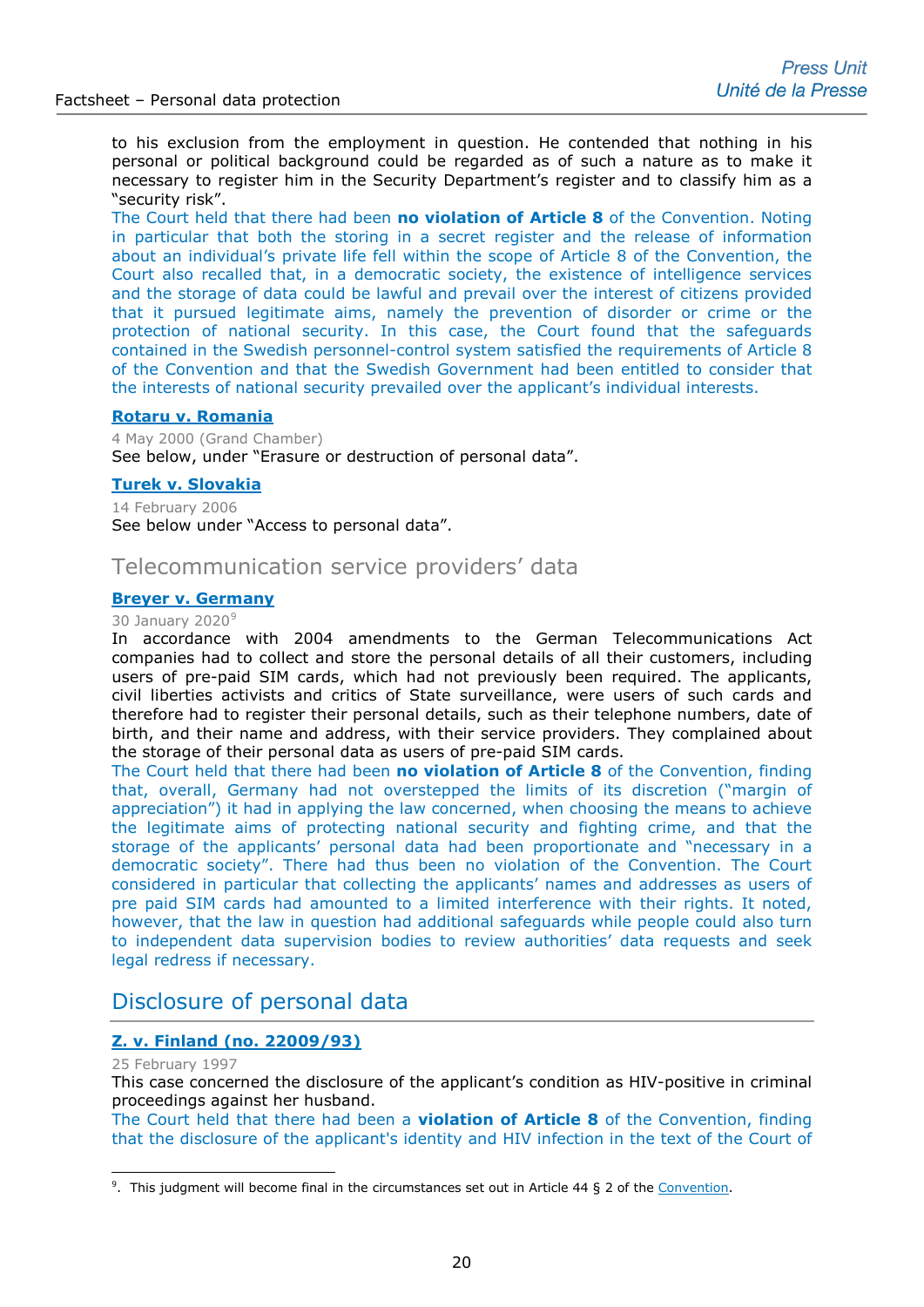to his exclusion from the employment in question. He contended that nothing in his personal or political background could be regarded as of such a nature as to make it necessary to register him in the Security Department's register and to classify him as a "security risk".

The Court held that there had been **no violation of Article 8** of the Convention. Noting in particular that both the storing in a secret register and the release of information about an individual's private life fell within the scope of Article 8 of the Convention, the Court also recalled that, in a democratic society, the existence of intelligence services and the storage of data could be lawful and prevail over the interest of citizens provided that it pursued legitimate aims, namely the prevention of disorder or crime or the protection of national security. In this case, the Court found that the safeguards contained in the Swedish personnel-control system satisfied the requirements of Article 8 of the Convention and that the Swedish Government had been entitled to consider that the interests of national security prevailed over the applicant's individual interests.

# **[Rotaru v. Romania](http://hudoc.echr.coe.int/eng-press?i=003-68482-68950)**

4 May 2000 (Grand Chamber) See below, under "Erasure or destruction of personal data".

#### **[Turek v. Slovakia](http://hudoc.echr.coe.int/eng?i=003-1584657-1658907)**

14 February 2006 See below under "Access to personal data".

# Telecommunication service providers' data

# **[Breyer v. Germany](http://hudoc.echr.coe.int/eng-press?i=003-6624862-8792771)**

#### 30 January 2020<sup>[9](#page-19-0)</sup>

In accordance with 2004 amendments to the German Telecommunications Act companies had to collect and store the personal details of all their customers, including users of pre-paid SIM cards, which had not previously been required. The applicants, civil liberties activists and critics of State surveillance, were users of such cards and therefore had to register their personal details, such as their telephone numbers, date of birth, and their name and address, with their service providers. They complained about the storage of their personal data as users of pre-paid SIM cards.

The Court held that there had been **no violation of Article 8** of the Convention, finding that, overall, Germany had not overstepped the limits of its discretion ("margin of appreciation") it had in applying the law concerned, when choosing the means to achieve the legitimate aims of protecting national security and fighting crime, and that the storage of the applicants' personal data had been proportionate and "necessary in a democratic society". There had thus been no violation of the Convention. The Court considered in particular that collecting the applicants' names and addresses as users of pre paid SIM cards had amounted to a limited interference with their rights. It noted, however, that the law in question had additional safeguards while people could also turn to independent data supervision bodies to review authorities' data requests and seek legal redress if necessary.

# Disclosure of personal data

# **[Z. v. Finland \(no. 22009/93\)](http://hudoc.echr.coe.int/eng?i=002-9432)**

25 February 1997

-

This case concerned the disclosure of the applicant's condition as HIV-positive in criminal proceedings against her husband.

The Court held that there had been a **violation of Article 8** of the Convention, finding that the disclosure of the applicant's identity and HIV infection in the text of the Court of

<span id="page-19-0"></span><sup>&</sup>lt;sup>9</sup>. This judgment will become final in the circumstances set out in Article 44 § 2 of the [Convention.](http://www.echr.coe.int/Documents/Convention_ENG.pdf)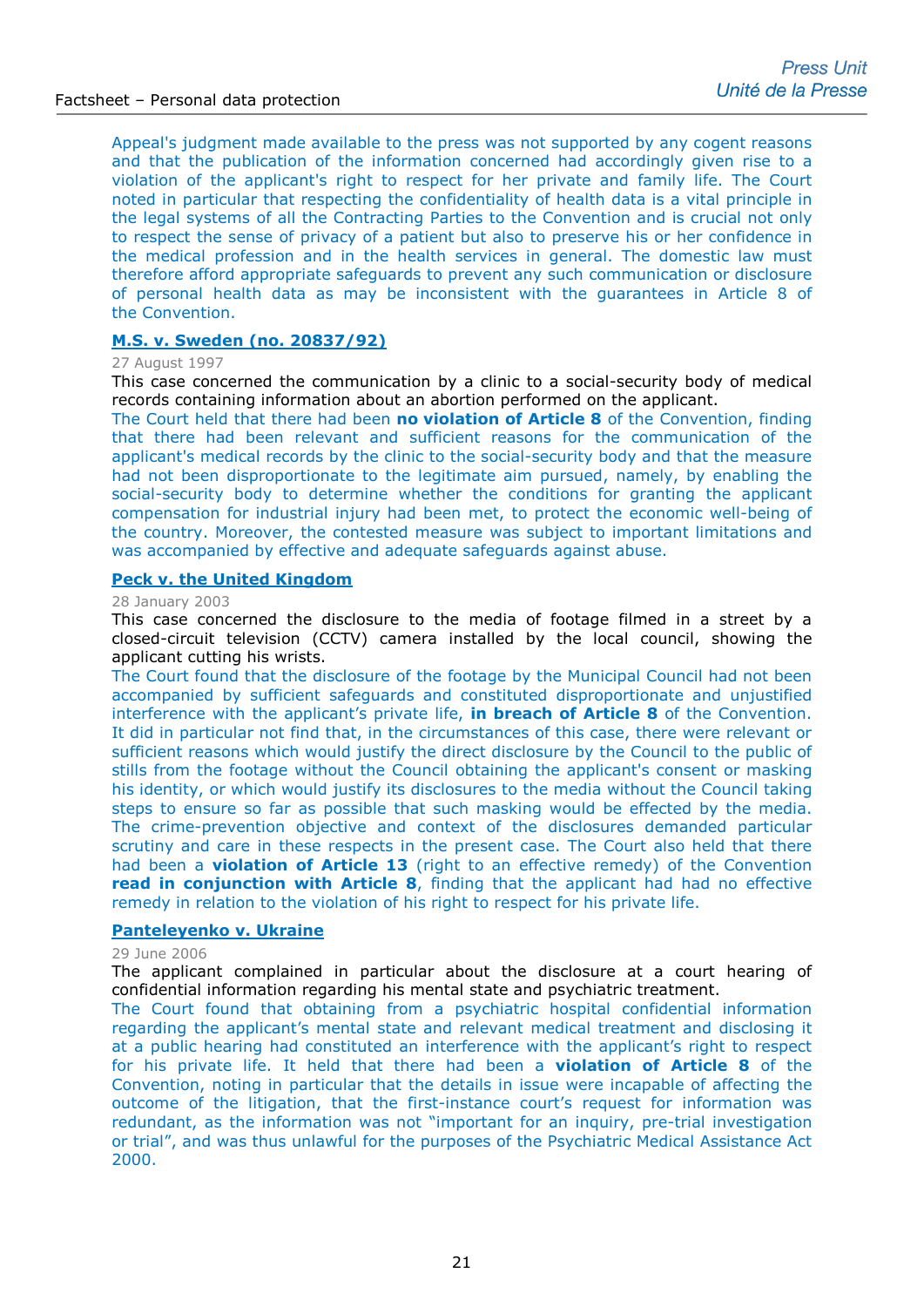Appeal's judgment made available to the press was not supported by any cogent reasons and that the publication of the information concerned had accordingly given rise to a violation of the applicant's right to respect for her private and family life. The Court noted in particular that respecting the confidentiality of health data is a vital principle in the legal systems of all the Contracting Parties to the Convention and is crucial not only to respect the sense of privacy of a patient but also to preserve his or her confidence in the medical profession and in the health services in general. The domestic law must therefore afford appropriate safeguards to prevent any such communication or disclosure of personal health data as may be inconsistent with the guarantees in Article 8 of the Convention.

# **[M.S. v. Sweden \(no. 20837/92\)](http://hudoc.echr.coe.int/eng?i=002-8905)**

#### 27 August 1997

This case concerned the communication by a clinic to a social-security body of medical records containing information about an abortion performed on the applicant.

The Court held that there had been **no violation of Article 8** of the Convention, finding that there had been relevant and sufficient reasons for the communication of the applicant's medical records by the clinic to the social-security body and that the measure had not been disproportionate to the legitimate aim pursued, namely, by enabling the social-security body to determine whether the conditions for granting the applicant compensation for industrial injury had been met, to protect the economic well-being of the country. Moreover, the contested measure was subject to important limitations and was accompanied by effective and adequate safeguards against abuse.

#### **[Peck v. the United Kingdom](http://hudoc.echr.coe.int/sites/eng-press/pages/search.aspx?i=003-687182-694690)**

#### 28 January 2003

This case concerned the disclosure to the media of footage filmed in a street by a closed-circuit television (CCTV) camera installed by the local council, showing the applicant cutting his wrists.

The Court found that the disclosure of the footage by the Municipal Council had not been accompanied by sufficient safeguards and constituted disproportionate and unjustified interference with the applicant's private life, **in breach of Article 8** of the Convention. It did in particular not find that, in the circumstances of this case, there were relevant or sufficient reasons which would justify the direct disclosure by the Council to the public of stills from the footage without the Council obtaining the applicant's consent or masking his identity, or which would justify its disclosures to the media without the Council taking steps to ensure so far as possible that such masking would be effected by the media. The crime-prevention objective and context of the disclosures demanded particular scrutiny and care in these respects in the present case. The Court also held that there had been a **violation of Article 13** (right to an effective remedy) of the Convention **read in conjunction with Article 8**, finding that the applicant had had no effective remedy in relation to the violation of his right to respect for his private life.

# **[Panteleyenko v. Ukraine](http://hudoc.echr.coe.int/sites/eng/pages/search.aspx?i=002-3281)**

#### 29 June 2006

The applicant complained in particular about the disclosure at a court hearing of confidential information regarding his mental state and psychiatric treatment.

The Court found that obtaining from a psychiatric hospital confidential information regarding the applicant's mental state and relevant medical treatment and disclosing it at a public hearing had constituted an interference with the applicant's right to respect for his private life. It held that there had been a **violation of Article 8** of the Convention, noting in particular that the details in issue were incapable of affecting the outcome of the litigation, that the first-instance court's request for information was redundant, as the information was not "important for an inquiry, pre-trial investigation or trial", and was thus unlawful for the purposes of the Psychiatric Medical Assistance Act 2000.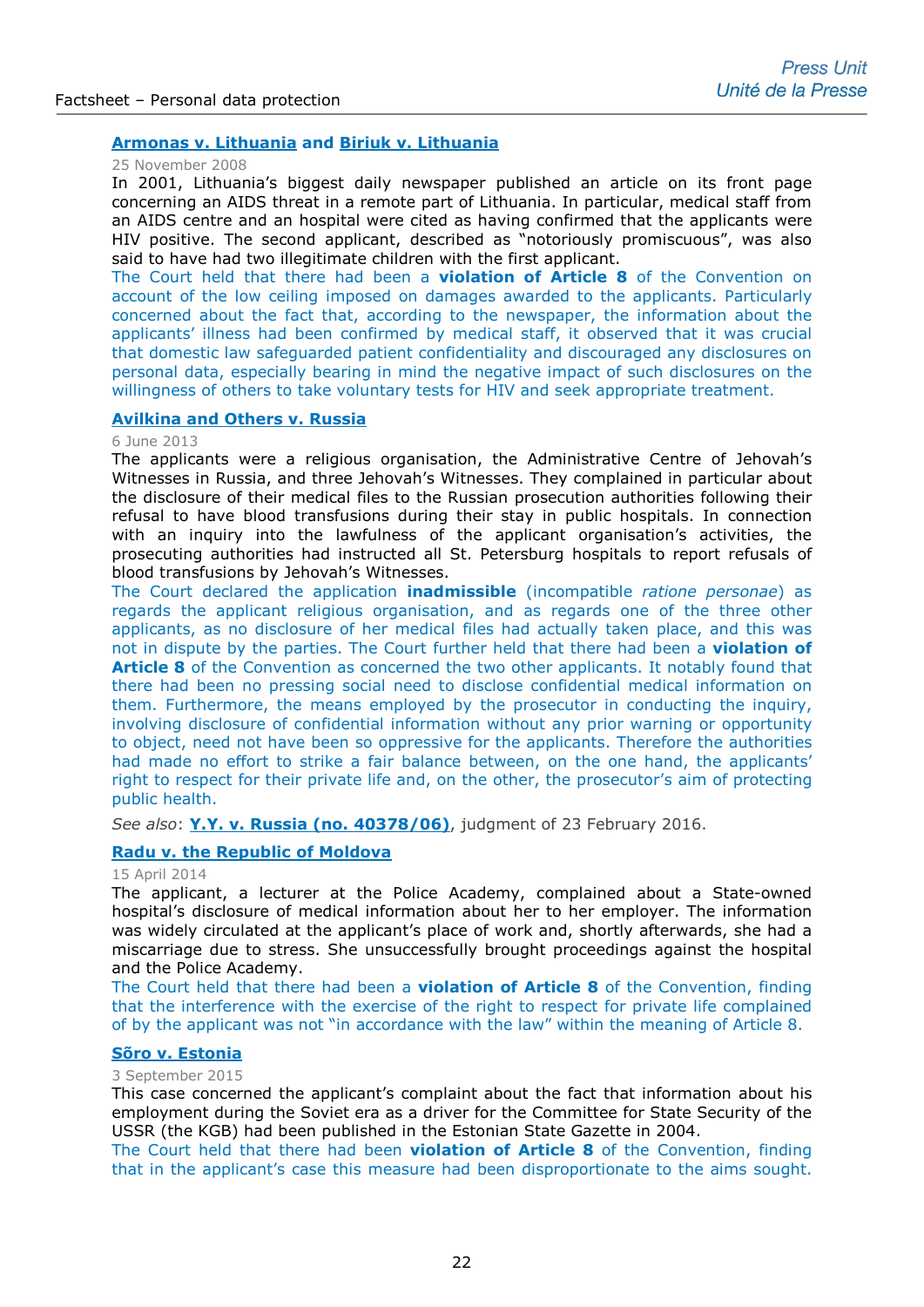# **Armonas v. Lithuania [and Biriuk v. Lithuania](http://hudoc.echr.coe.int/sites/eng/pages/search.aspx?i=003-2558775-2780393)**

#### 25 November 2008

In 2001, Lithuania's biggest daily newspaper published an article on its front page concerning an AIDS threat in a remote part of Lithuania. In particular, medical staff from an AIDS centre and an hospital were cited as having confirmed that the applicants were HIV positive. The second applicant, described as "notoriously promiscuous", was also said to have had two illegitimate children with the first applicant.

The Court held that there had been a **violation of Article 8** of the Convention on account of the low ceiling imposed on damages awarded to the applicants. Particularly concerned about the fact that, according to the newspaper, the information about the applicants' illness had been confirmed by medical staff, it observed that it was crucial that domestic law safeguarded patient confidentiality and discouraged any disclosures on personal data, especially bearing in mind the negative impact of such disclosures on the willingness of others to take voluntary tests for HIV and seek appropriate treatment.

### **[Avilkina and Others v. Russia](http://hudoc.echr.coe.int/sites/eng-press/pages/search.aspx?i=003-4388678-5269107)**

#### 6 June 2013

The applicants were a religious organisation, the Administrative Centre of Jehovah's Witnesses in Russia, and three Jehovah's Witnesses. They complained in particular about the disclosure of their medical files to the Russian prosecution authorities following their refusal to have blood transfusions during their stay in public hospitals. In connection with an inquiry into the lawfulness of the applicant organisation's activities, the prosecuting authorities had instructed all St. Petersburg hospitals to report refusals of blood transfusions by Jehovah's Witnesses.

The Court declared the application **inadmissible** (incompatible *ratione personae*) as regards the applicant religious organisation, and as regards one of the three other applicants, as no disclosure of her medical files had actually taken place, and this was not in dispute by the parties. The Court further held that there had been a **violation of Article 8** of the Convention as concerned the two other applicants. It notably found that there had been no pressing social need to disclose confidential medical information on them. Furthermore, the means employed by the prosecutor in conducting the inquiry, involving disclosure of confidential information without any prior warning or opportunity to object, need not have been so oppressive for the applicants. Therefore the authorities had made no effort to strike a fair balance between, on the one hand, the applicants' right to respect for their private life and, on the other, the prosecutor's aim of protecting public health.

*See also*: **[Y.Y. v. Russia \(no. 40378/06\)](http://hudoc.echr.coe.int/eng?i=001-161048)**, judgment of 23 February 2016.

# **[Radu v. the Republic of Moldova](http://hudoc.echr.coe.int/sites/eng/pages/search.aspx?i=001-142398)**

#### 15 April 2014

The applicant, a lecturer at the Police Academy, complained about a State-owned hospital's disclosure of medical information about her to her employer. The information was widely circulated at the applicant's place of work and, shortly afterwards, she had a miscarriage due to stress. She unsuccessfully brought proceedings against the hospital and the Police Academy.

The Court held that there had been a **violation of Article 8** of the Convention, finding that the interference with the exercise of the right to respect for private life complained of by the applicant was not "in accordance with the law" within the meaning of Article 8.

#### **[Sõro v. Estonia](http://hudoc.echr.coe.int/eng-press?i=003-5160406-6379504)**

#### 3 September 2015

This case concerned the applicant's complaint about the fact that information about his employment during the Soviet era as a driver for the Committee for State Security of the USSR (the KGB) had been published in the Estonian State Gazette in 2004.

The Court held that there had been **violation of Article 8** of the Convention, finding that in the applicant's case this measure had been disproportionate to the aims sought.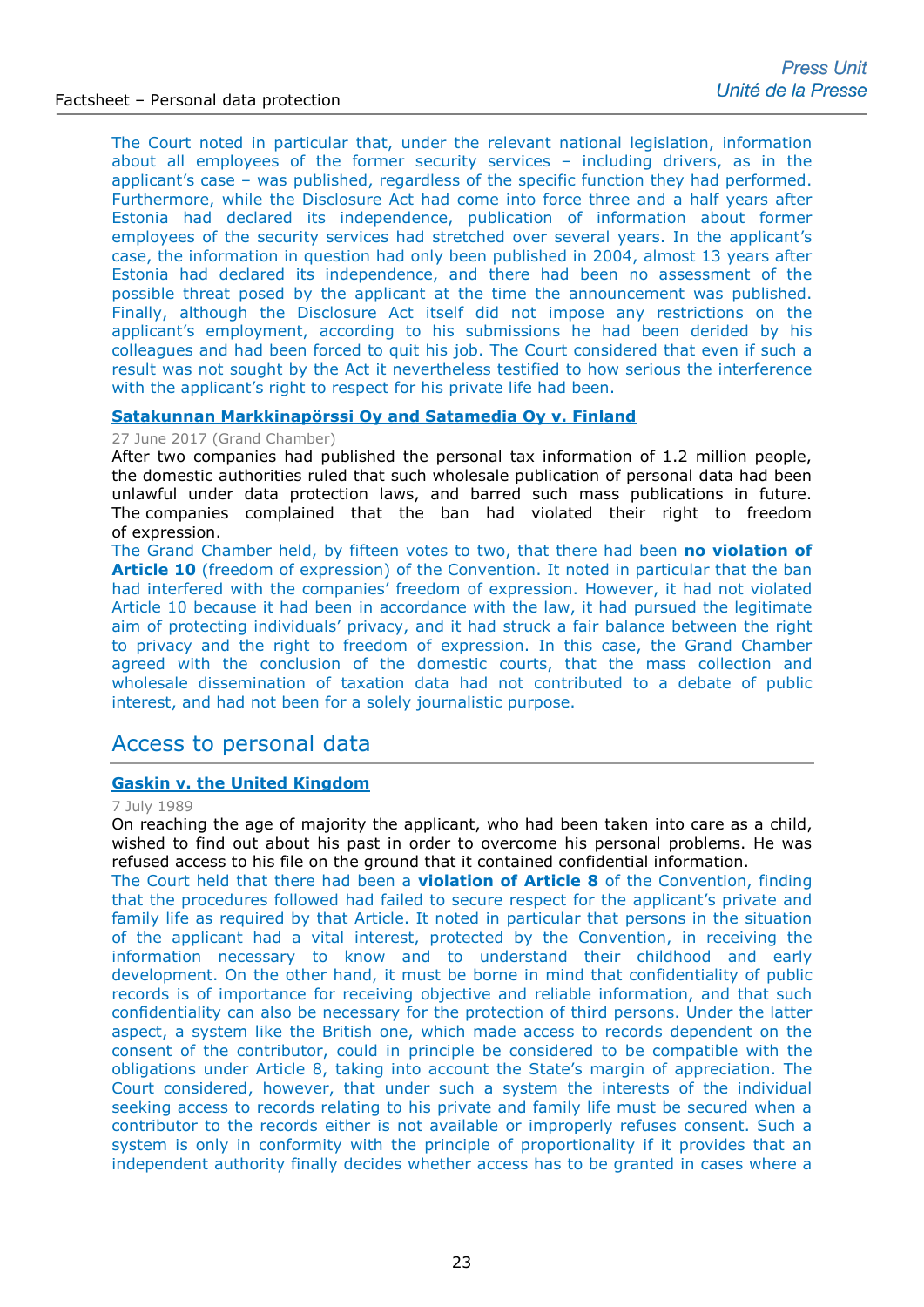The Court noted in particular that, under the relevant national legislation, information about all employees of the former security services – including drivers, as in the applicant's case – was published, regardless of the specific function they had performed. Furthermore, while the Disclosure Act had come into force three and a half years after Estonia had declared its independence, publication of information about former employees of the security services had stretched over several years. In the applicant's case, the information in question had only been published in 2004, almost 13 years after Estonia had declared its independence, and there had been no assessment of the possible threat posed by the applicant at the time the announcement was published. Finally, although the Disclosure Act itself did not impose any restrictions on the applicant's employment, according to his submissions he had been derided by his colleagues and had been forced to quit his job. The Court considered that even if such a result was not sought by the Act it nevertheless testified to how serious the interference with the applicant's right to respect for his private life had been.

# **[Satakunnan Markkinapörssi Oy and Satamedia Oy v. Finland](http://hudoc.echr.coe.int/eng-press?i=003-5767838-7331982)**

# 27 June 2017 (Grand Chamber)

After two companies had published the personal tax information of 1.2 million people, the domestic authorities ruled that such wholesale publication of personal data had been unlawful under data protection laws, and barred such mass publications in future. The companies complained that the ban had violated their right to freedom of expression.

The Grand Chamber held, by fifteen votes to two, that there had been **no violation of Article 10** (freedom of expression) of the Convention. It noted in particular that the ban had interfered with the companies' freedom of expression. However, it had not violated Article 10 because it had been in accordance with the law, it had pursued the legitimate aim of protecting individuals' privacy, and it had struck a fair balance between the right to privacy and the right to freedom of expression. In this case, the Grand Chamber agreed with the conclusion of the domestic courts, that the mass collection and wholesale dissemination of taxation data had not contributed to a debate of public interest, and had not been for a solely journalistic purpose.

# Access to personal data

#### **[Gaskin v. the United Kingdom](http://hudoc.echr.coe.int/eng?i=001-57491)**

#### 7 July 1989

On reaching the age of majority the applicant, who had been taken into care as a child, wished to find out about his past in order to overcome his personal problems. He was refused access to his file on the ground that it contained confidential information.

The Court held that there had been a **violation of Article 8** of the Convention, finding that the procedures followed had failed to secure respect for the applicant's private and family life as required by that Article. It noted in particular that persons in the situation of the applicant had a vital interest, protected by the Convention, in receiving the information necessary to know and to understand their childhood and early development. On the other hand, it must be borne in mind that confidentiality of public records is of importance for receiving objective and reliable information, and that such confidentiality can also be necessary for the protection of third persons. Under the latter aspect, a system like the British one, which made access to records dependent on the consent of the contributor, could in principle be considered to be compatible with the obligations under Article 8, taking into account the State's margin of appreciation. The Court considered, however, that under such a system the interests of the individual seeking access to records relating to his private and family life must be secured when a contributor to the records either is not available or improperly refuses consent. Such a system is only in conformity with the principle of proportionality if it provides that an independent authority finally decides whether access has to be granted in cases where a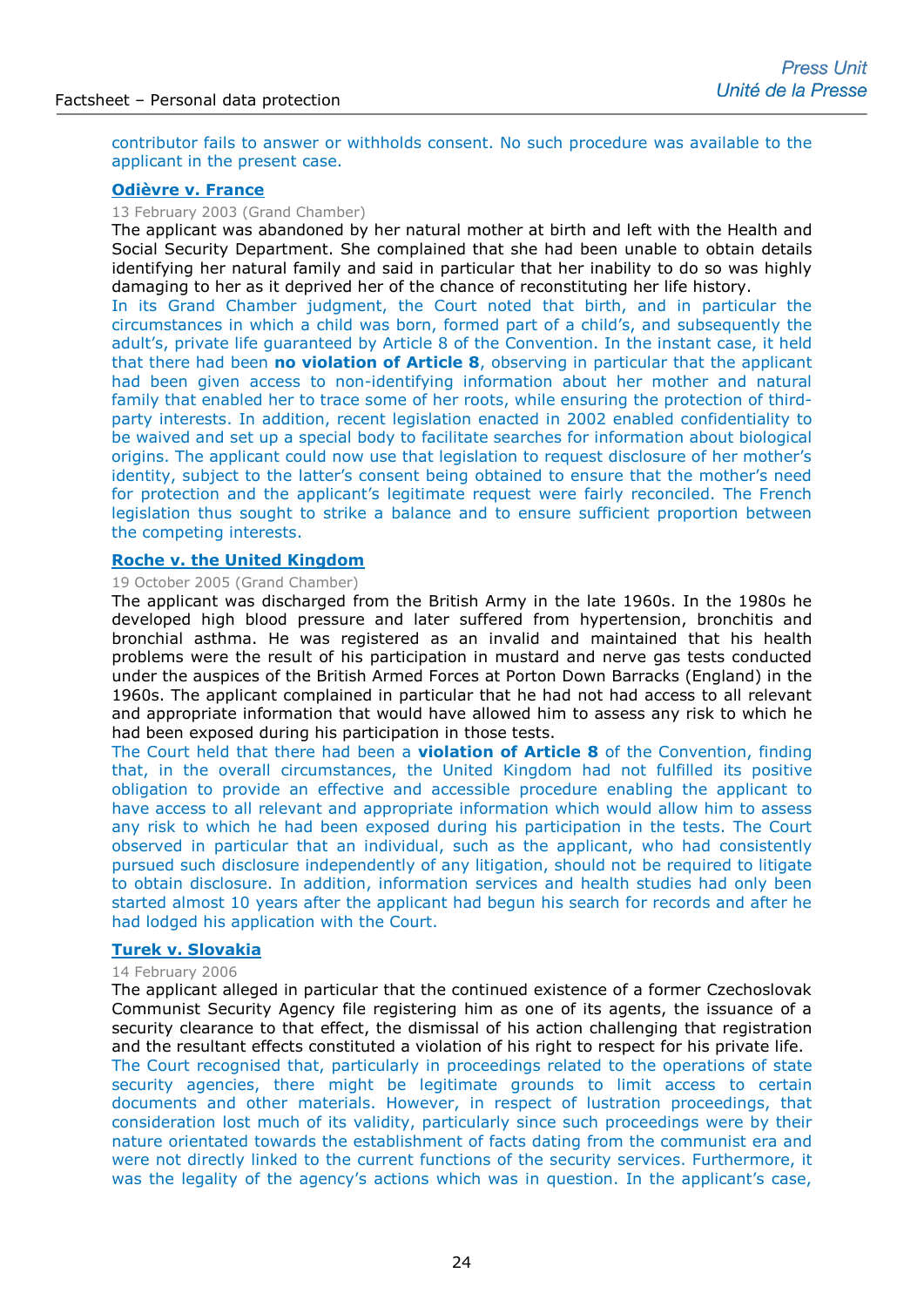contributor fails to answer or withholds consent. No such procedure was available to the applicant in the present case.

# **[Odièvre v. France](http://hudoc.echr.coe.int/sites/eng-press/pages/search.aspx?i=003-698999-707368)**

13 February 2003 (Grand Chamber)

The applicant was abandoned by her natural mother at birth and left with the Health and Social Security Department. She complained that she had been unable to obtain details identifying her natural family and said in particular that her inability to do so was highly damaging to her as it deprived her of the chance of reconstituting her life history.

In its Grand Chamber judgment, the Court noted that birth, and in particular the circumstances in which a child was born, formed part of a child's, and subsequently the adult's, private life guaranteed by Article 8 of the Convention. In the instant case, it held that there had been **no violation of Article 8**, observing in particular that the applicant had been given access to non-identifying information about her mother and natural family that enabled her to trace some of her roots, while ensuring the protection of thirdparty interests. In addition, recent legislation enacted in 2002 enabled confidentiality to be waived and set up a special body to facilitate searches for information about biological origins. The applicant could now use that legislation to request disclosure of her mother's identity, subject to the latter's consent being obtained to ensure that the mother's need for protection and the applicant's legitimate request were fairly reconciled. The French legislation thus sought to strike a balance and to ensure sufficient proportion between the competing interests.

### **[Roche v. the United Kingdom](http://hudoc.echr.coe.int/sites/eng-press/pages/search.aspx?i=003-1477579-1544873)**

#### 19 October 2005 (Grand Chamber)

The applicant was discharged from the British Army in the late 1960s. In the 1980s he developed high blood pressure and later suffered from hypertension, bronchitis and bronchial asthma. He was registered as an invalid and maintained that his health problems were the result of his participation in mustard and nerve gas tests conducted under the auspices of the British Armed Forces at Porton Down Barracks (England) in the 1960s. The applicant complained in particular that he had not had access to all relevant and appropriate information that would have allowed him to assess any risk to which he had been exposed during his participation in those tests.

The Court held that there had been a **violation of Article 8** of the Convention, finding that, in the overall circumstances, the United Kingdom had not fulfilled its positive obligation to provide an effective and accessible procedure enabling the applicant to have access to all relevant and appropriate information which would allow him to assess any risk to which he had been exposed during his participation in the tests. The Court observed in particular that an individual, such as the applicant, who had consistently pursued such disclosure independently of any litigation, should not be required to litigate to obtain disclosure. In addition, information services and health studies had only been started almost 10 years after the applicant had begun his search for records and after he had lodged his application with the Court.

#### **[Turek v. Slovakia](http://hudoc.echr.coe.int/eng?i=003-1584657-1658907)**

#### 14 February 2006

The applicant alleged in particular that the continued existence of a former Czechoslovak Communist Security Agency file registering him as one of its agents, the issuance of a security clearance to that effect, the dismissal of his action challenging that registration and the resultant effects constituted a violation of his right to respect for his private life.

The Court recognised that, particularly in proceedings related to the operations of state security agencies, there might be legitimate grounds to limit access to certain documents and other materials. However, in respect of lustration proceedings, that consideration lost much of its validity, particularly since such proceedings were by their nature orientated towards the establishment of facts dating from the communist era and were not directly linked to the current functions of the security services. Furthermore, it was the legality of the agency's actions which was in question. In the applicant's case,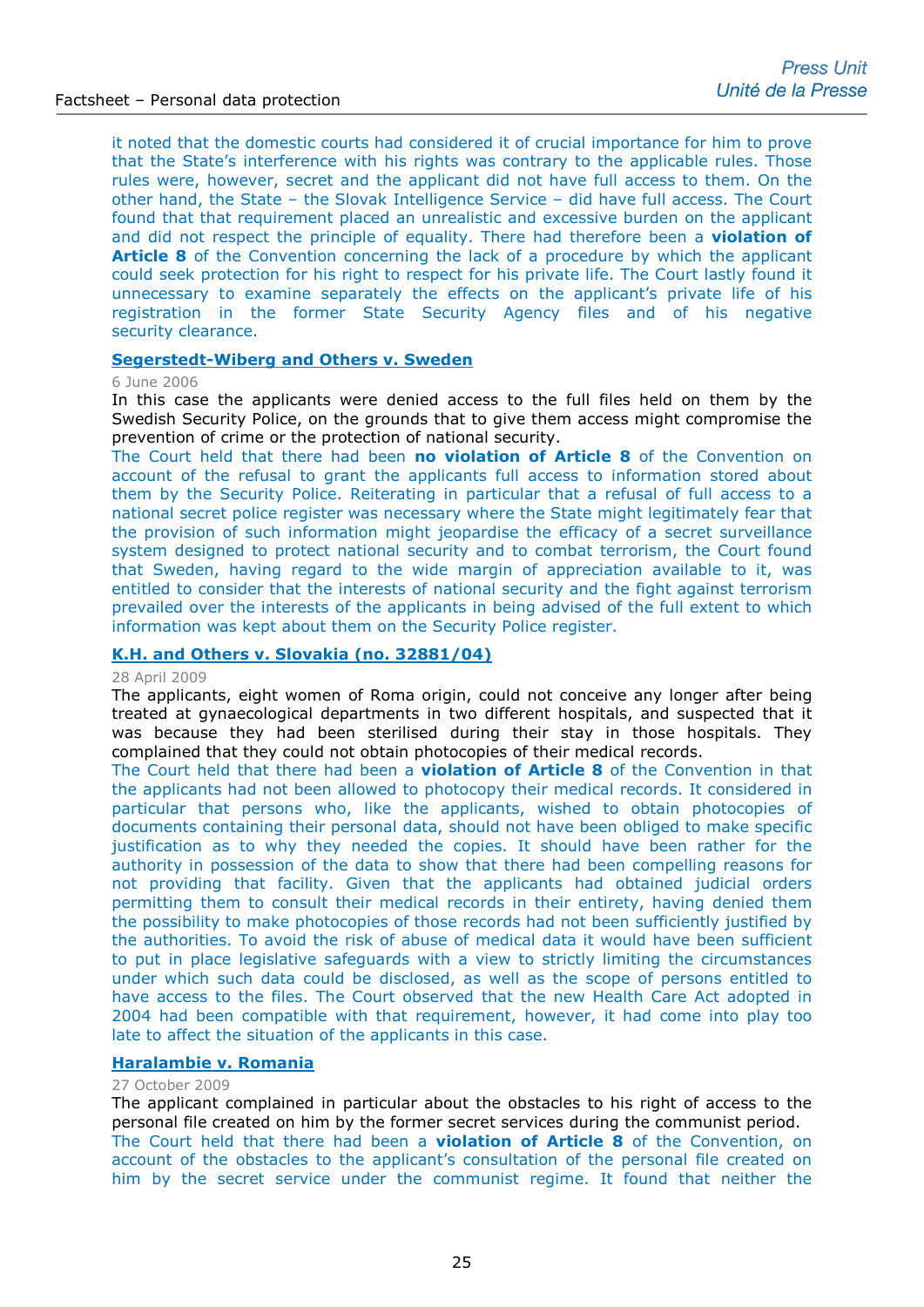it noted that the domestic courts had considered it of crucial importance for him to prove that the State's interference with his rights was contrary to the applicable rules. Those rules were, however, secret and the applicant did not have full access to them. On the other hand, the State – the Slovak Intelligence Service – did have full access. The Court found that that requirement placed an unrealistic and excessive burden on the applicant and did not respect the principle of equality. There had therefore been a **violation of Article 8** of the Convention concerning the lack of a procedure by which the applicant could seek protection for his right to respect for his private life. The Court lastly found it unnecessary to examine separately the effects on the applicant's private life of his registration in the former State Security Agency files and of his negative security clearance.

# **[Segerstedt-Wiberg and Others v. Sweden](http://hudoc.echr.coe.int/eng-press?i=003-1688388-1769677)**

#### 6 June 2006

In this case the applicants were denied access to the full files held on them by the Swedish Security Police, on the grounds that to give them access might compromise the prevention of crime or the protection of national security.

The Court held that there had been **no violation of Article 8** of the Convention on account of the refusal to grant the applicants full access to information stored about them by the Security Police. Reiterating in particular that a refusal of full access to a national secret police register was necessary where the State might legitimately fear that the provision of such information might jeopardise the efficacy of a secret surveillance system designed to protect national security and to combat terrorism, the Court found that Sweden, having regard to the wide margin of appreciation available to it, was entitled to consider that the interests of national security and the fight against terrorism prevailed over the interests of the applicants in being advised of the full extent to which information was kept about them on the Security Police register.

# **[K.H. and Others v. Slovakia \(no. 32881/04\)](http://hudoc.echr.coe.int/sites/eng-press/pages/search.aspx?i=003-2718812-2971322)**

#### 28 April 2009

The applicants, eight women of Roma origin, could not conceive any longer after being treated at gynaecological departments in two different hospitals, and suspected that it was because they had been sterilised during their stay in those hospitals. They complained that they could not obtain photocopies of their medical records.

The Court held that there had been a **violation of Article 8** of the Convention in that the applicants had not been allowed to photocopy their medical records. It considered in particular that persons who, like the applicants, wished to obtain photocopies of documents containing their personal data, should not have been obliged to make specific justification as to why they needed the copies. It should have been rather for the authority in possession of the data to show that there had been compelling reasons for not providing that facility. Given that the applicants had obtained judicial orders permitting them to consult their medical records in their entirety, having denied them the possibility to make photocopies of those records had not been sufficiently justified by the authorities. To avoid the risk of abuse of medical data it would have been sufficient to put in place legislative safeguards with a view to strictly limiting the circumstances under which such data could be disclosed, as well as the scope of persons entitled to have access to the files. The Court observed that the new Health Care Act adopted in 2004 had been compatible with that requirement, however, it had come into play too late to affect the situation of the applicants in this case.

# **[Haralambie v. Romania](http://hudoc.echr.coe.int/eng-press?i=003-2909811-3196312)**

#### 27 October 2009

The applicant complained in particular about the obstacles to his right of access to the personal file created on him by the former secret services during the communist period. The Court held that there had been a **violation of Article 8** of the Convention, on account of the obstacles to the applicant's consultation of the personal file created on him by the secret service under the communist regime. It found that neither the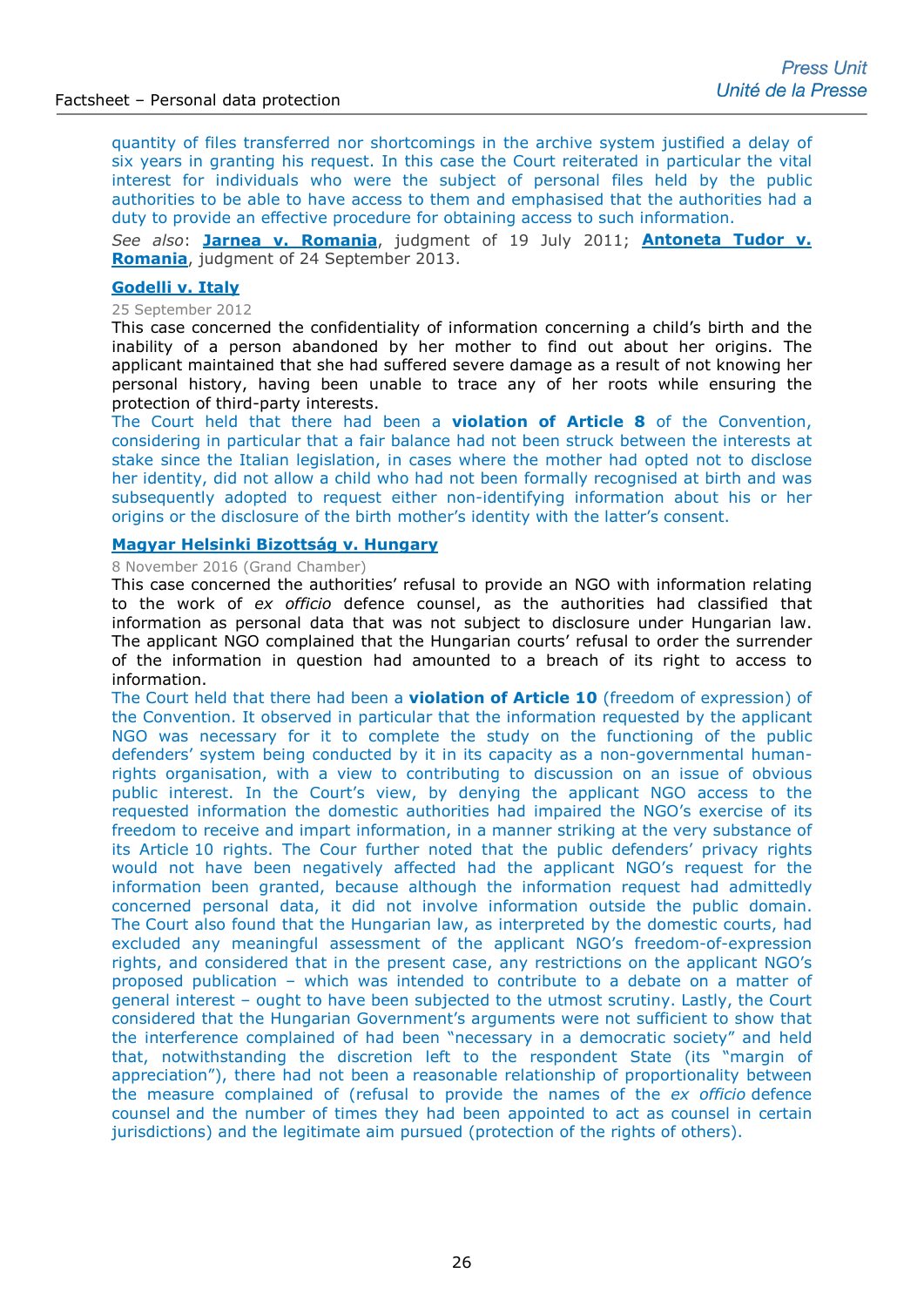quantity of files transferred nor shortcomings in the archive system justified a delay of six years in granting his request. In this case the Court reiterated in particular the vital interest for individuals who were the subject of personal files held by the public authorities to be able to have access to them and emphasised that the authorities had a duty to provide an effective procedure for obtaining access to such information.

*See also*: **[Jarnea v. Romania](http://hudoc.echr.coe.int/eng?i=001-105706)**, judgment of 19 July 2011; **[Antoneta Tudor v.](http://hudoc.echr.coe.int/eng?i=001-126765)  [Romania](http://hudoc.echr.coe.int/eng?i=001-126765)**, judgment of 24 September 2013.

# **[Godelli v. Italy](http://hudoc.echr.coe.int/sites/fra-press/pages/search.aspx?i=003-4089584-4796295)**

#### 25 September 2012

This case concerned the confidentiality of information concerning a child's birth and the inability of a person abandoned by her mother to find out about her origins. The applicant maintained that she had suffered severe damage as a result of not knowing her personal history, having been unable to trace any of her roots while ensuring the protection of third-party interests.

The Court held that there had been a **violation of Article 8** of the Convention, considering in particular that a fair balance had not been struck between the interests at stake since the Italian legislation, in cases where the mother had opted not to disclose her identity, did not allow a child who had not been formally recognised at birth and was subsequently adopted to request either non-identifying information about his or her origins or the disclosure of the birth mother's identity with the latter's consent.

# **[Magyar Helsinki Bizottság v. Hungary](http://hudoc.echr.coe.int/eng-press?i=003-5539963-6976296)**

8 November 2016 (Grand Chamber)

This case concerned the authorities' refusal to provide an NGO with information relating to the work of *ex officio* defence counsel, as the authorities had classified that information as personal data that was not subject to disclosure under Hungarian law. The applicant NGO complained that the Hungarian courts' refusal to order the surrender of the information in question had amounted to a breach of its right to access to information.

The Court held that there had been a **violation of Article 10** (freedom of expression) of the Convention. It observed in particular that the information requested by the applicant NGO was necessary for it to complete the study on the functioning of the public defenders' system being conducted by it in its capacity as a non-governmental humanrights organisation, with a view to contributing to discussion on an issue of obvious public interest. In the Court's view, by denying the applicant NGO access to the requested information the domestic authorities had impaired the NGO's exercise of its freedom to receive and impart information, in a manner striking at the very substance of its Article 10 rights. The Cour further noted that the public defenders' privacy rights would not have been negatively affected had the applicant NGO's request for the information been granted, because although the information request had admittedly concerned personal data, it did not involve information outside the public domain. The Court also found that the Hungarian law, as interpreted by the domestic courts, had excluded any meaningful assessment of the applicant NGO's freedom-of-expression rights, and considered that in the present case, any restrictions on the applicant NGO's proposed publication – which was intended to contribute to a debate on a matter of general interest – ought to have been subjected to the utmost scrutiny. Lastly, the Court considered that the Hungarian Government's arguments were not sufficient to show that the interference complained of had been "necessary in a democratic society" and held that, notwithstanding the discretion left to the respondent State (its "margin of appreciation"), there had not been a reasonable relationship of proportionality between the measure complained of (refusal to provide the names of the *ex officio* defence counsel and the number of times they had been appointed to act as counsel in certain jurisdictions) and the legitimate aim pursued (protection of the rights of others).